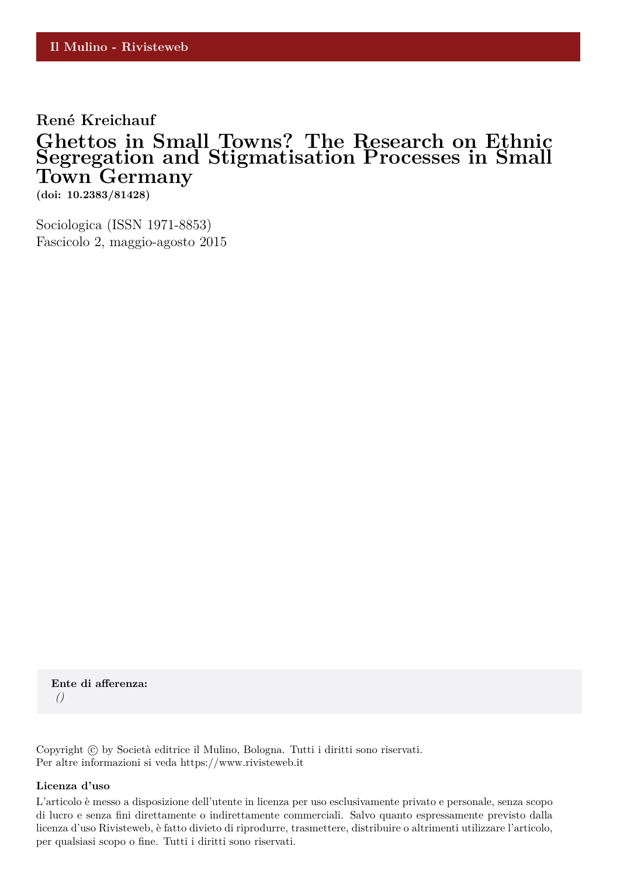## **René Kreichauf Ghettos in Small Towns? The Research on Ethnic Segregation and Stigmatisation Processes in Small Town Germany**

**(doi: 10.2383/81428)**

Sociologica (ISSN 1971-8853) Fascicolo 2, maggio-agosto 2015

**Ente di afferenza:** *()*

Copyright © by Società editrice il Mulino, Bologna. Tutti i diritti sono riservati. Per altre informazioni si veda https://www.rivisteweb.it

#### **Licenza d'uso**

L'articolo è messo a disposizione dell'utente in licenza per uso esclusivamente privato e personale, senza scopo di lucro e senza fini direttamente o indirettamente commerciali. Salvo quanto espressamente previsto dalla licenza d'uso Rivisteweb, è fatto divieto di riprodurre, trasmettere, distribuire o altrimenti utilizzare l'articolo, per qualsiasi scopo o fine. Tutti i diritti sono riservati.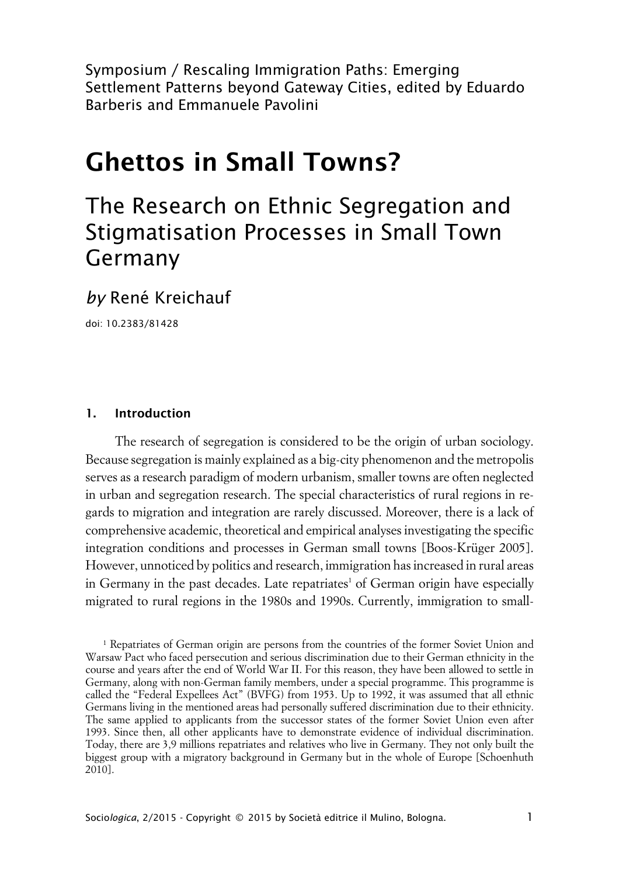Symposium / Rescaling Immigration Paths: Emerging Settlement Patterns beyond Gateway Cities, edited by Eduardo Barberis and Emmanuele Pavolini

# **Ghettos in Small Towns?**

## The Research on Ethnic Segregation and Stigmatisation Processes in Small Town Germany

*by* René Kreichauf

doi: 10.2383/81428

#### **1. Introduction**

The research of segregation is considered to be the origin of urban sociology. Because segregation is mainly explained as a big-city phenomenon and the metropolis serves as a research paradigm of modern urbanism, smaller towns are often neglected in urban and segregation research. The special characteristics of rural regions in regards to migration and integration are rarely discussed. Moreover, there is a lack of comprehensive academic, theoretical and empirical analyses investigating the specific integration conditions and processes in German small towns [Boos-Krüger 2005]. However, unnoticed by politics and research, immigration has increased in rural areas in Germany in the past decades. Late repatriates<sup>1</sup> of German origin have especially migrated to rural regions in the 1980s and 1990s. Currently, immigration to small-

<sup>1</sup> Repatriates of German origin are persons from the countries of the former Soviet Union and Warsaw Pact who faced persecution and serious discrimination due to their German ethnicity in the course and years after the end of World War II. For this reason, they have been allowed to settle in Germany, along with non-German family members, under a special programme. This programme is called the "Federal Expellees Act" (BVFG) from 1953. Up to 1992, it was assumed that all ethnic Germans living in the mentioned areas had personally suffered discrimination due to their ethnicity. The same applied to applicants from the successor states of the former Soviet Union even after 1993. Since then, all other applicants have to demonstrate evidence of individual discrimination. Today, there are 3,9 millions repatriates and relatives who live in Germany. They not only built the biggest group with a migratory background in Germany but in the whole of Europe [Schoenhuth 2010].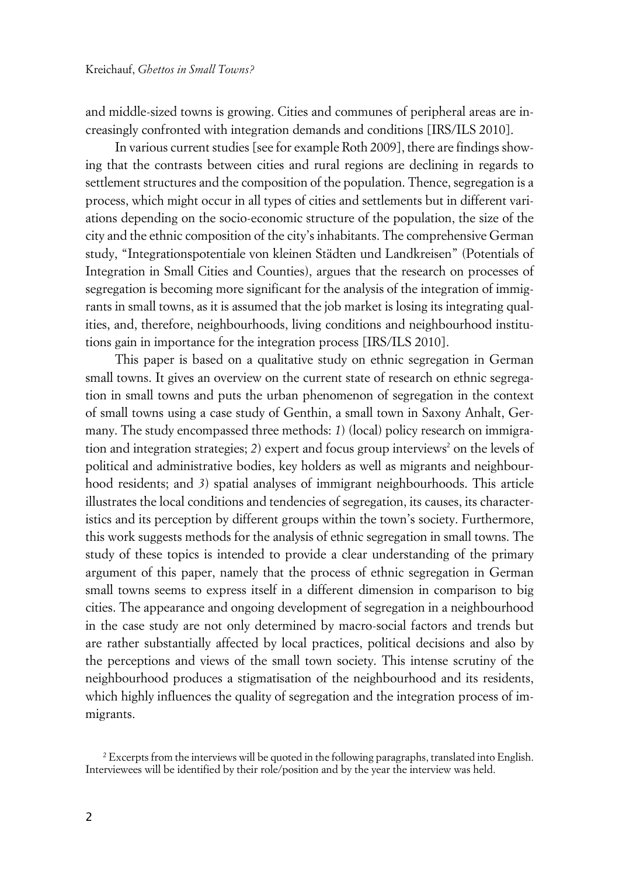and middle-sized towns is growing. Cities and communes of peripheral areas are increasingly confronted with integration demands and conditions [IRS/ILS 2010].

In various current studies [see for example Roth 2009], there are findings showing that the contrasts between cities and rural regions are declining in regards to settlement structures and the composition of the population. Thence, segregation is a process, which might occur in all types of cities and settlements but in different variations depending on the socio-economic structure of the population, the size of the city and the ethnic composition of the city's inhabitants. The comprehensive German study, "Integrationspotentiale von kleinen Städten und Landkreisen" (Potentials of Integration in Small Cities and Counties), argues that the research on processes of segregation is becoming more significant for the analysis of the integration of immigrants in small towns, as it is assumed that the job market is losing its integrating qualities, and, therefore, neighbourhoods, living conditions and neighbourhood institutions gain in importance for the integration process [IRS/ILS 2010].

This paper is based on a qualitative study on ethnic segregation in German small towns. It gives an overview on the current state of research on ethnic segregation in small towns and puts the urban phenomenon of segregation in the context of small towns using a case study of Genthin, a small town in Saxony Anhalt, Germany. The study encompassed three methods: 1) (local) policy research on immigration and integration strategies; 2) expert and focus group interviews<sup>2</sup> on the levels of political and administrative bodies, key holders as well as migrants and neighbourhood residents; and *3*) spatial analyses of immigrant neighbourhoods. This article illustrates the local conditions and tendencies of segregation, its causes, its characteristics and its perception by different groups within the town's society. Furthermore, this work suggests methods for the analysis of ethnic segregation in small towns. The study of these topics is intended to provide a clear understanding of the primary argument of this paper, namely that the process of ethnic segregation in German small towns seems to express itself in a different dimension in comparison to big cities. The appearance and ongoing development of segregation in a neighbourhood in the case study are not only determined by macro-social factors and trends but are rather substantially affected by local practices, political decisions and also by the perceptions and views of the small town society. This intense scrutiny of the neighbourhood produces a stigmatisation of the neighbourhood and its residents, which highly influences the quality of segregation and the integration process of immigrants.

 $^2$  Excerpts from the interviews will be quoted in the following paragraphs, translated into English. Interviewees will be identified by their role/position and by the year the interview was held.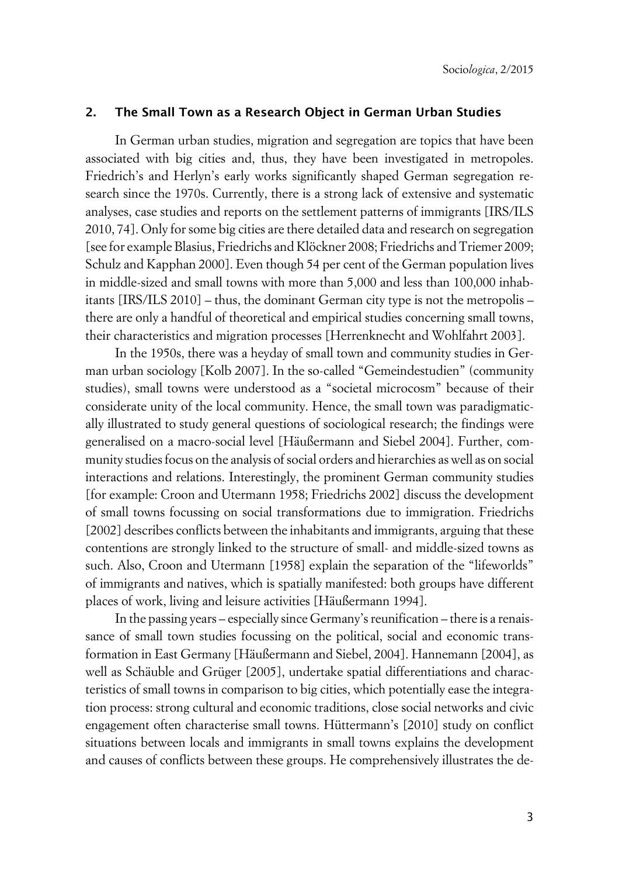#### **2. The Small Town as a Research Object in German Urban Studies**

In German urban studies, migration and segregation are topics that have been associated with big cities and, thus, they have been investigated in metropoles. Friedrich's and Herlyn's early works significantly shaped German segregation research since the 1970s. Currently, there is a strong lack of extensive and systematic analyses, case studies and reports on the settlement patterns of immigrants [IRS/ILS 2010, 74]. Only for some big cities are there detailed data and research on segregation [see for example Blasius, Friedrichs and Klöckner 2008; Friedrichs and Triemer 2009; Schulz and Kapphan 2000]. Even though 54 per cent of the German population lives in middle-sized and small towns with more than 5,000 and less than 100,000 inhabitants [IRS/ILS 2010] – thus, the dominant German city type is not the metropolis – there are only a handful of theoretical and empirical studies concerning small towns, their characteristics and migration processes [Herrenknecht and Wohlfahrt 2003].

In the 1950s, there was a heyday of small town and community studies in German urban sociology [Kolb 2007]. In the so-called "Gemeindestudien" (community studies), small towns were understood as a "societal microcosm" because of their considerate unity of the local community. Hence, the small town was paradigmatically illustrated to study general questions of sociological research; the findings were generalised on a macro-social level [Häußermann and Siebel 2004]. Further, community studies focus on the analysis of social orders and hierarchies as well as on social interactions and relations. Interestingly, the prominent German community studies [for example: Croon and Utermann 1958; Friedrichs 2002] discuss the development of small towns focussing on social transformations due to immigration. Friedrichs [2002] describes conflicts between the inhabitants and immigrants, arguing that these contentions are strongly linked to the structure of small- and middle-sized towns as such. Also, Croon and Utermann [1958] explain the separation of the "lifeworlds" of immigrants and natives, which is spatially manifested: both groups have different places of work, living and leisure activities [Häußermann 1994].

In the passing years – especially since Germany's reunification – there is a renaissance of small town studies focussing on the political, social and economic transformation in East Germany [Häußermann and Siebel, 2004]. Hannemann [2004], as well as Schäuble and Grüger [2005], undertake spatial differentiations and characteristics of small towns in comparison to big cities, which potentially ease the integration process: strong cultural and economic traditions, close social networks and civic engagement often characterise small towns. Hüttermann's [2010] study on conflict situations between locals and immigrants in small towns explains the development and causes of conflicts between these groups. He comprehensively illustrates the de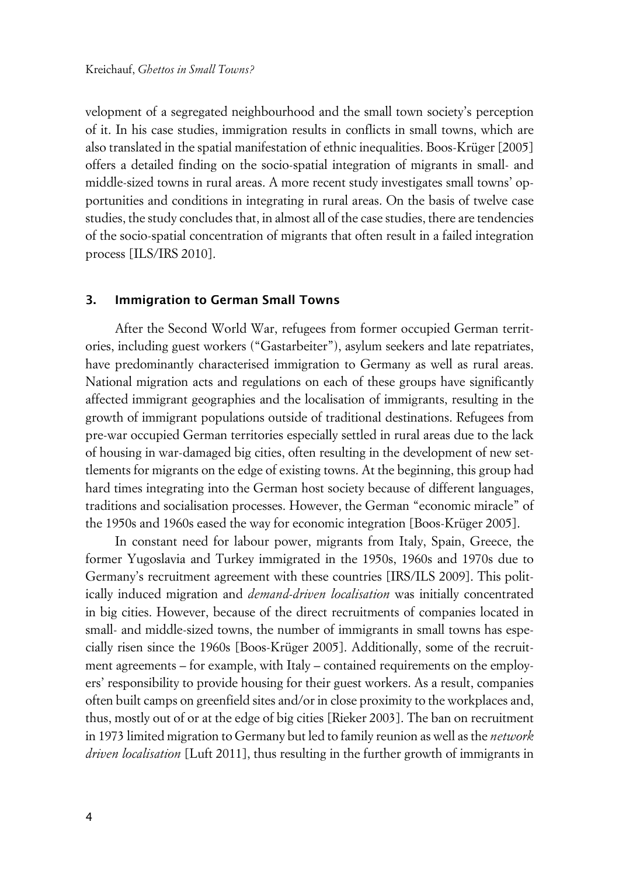velopment of a segregated neighbourhood and the small town society's perception of it. In his case studies, immigration results in conflicts in small towns, which are also translated in the spatial manifestation of ethnic inequalities. Boos-Krüger [2005] offers a detailed finding on the socio-spatial integration of migrants in small- and middle-sized towns in rural areas. A more recent study investigates small towns' opportunities and conditions in integrating in rural areas. On the basis of twelve case studies, the study concludes that, in almost all of the case studies, there are tendencies of the socio-spatial concentration of migrants that often result in a failed integration process [ILS/IRS 2010].

#### **3. Immigration to German Small Towns**

After the Second World War, refugees from former occupied German territories, including guest workers ("Gastarbeiter"), asylum seekers and late repatriates, have predominantly characterised immigration to Germany as well as rural areas. National migration acts and regulations on each of these groups have significantly affected immigrant geographies and the localisation of immigrants, resulting in the growth of immigrant populations outside of traditional destinations. Refugees from pre-war occupied German territories especially settled in rural areas due to the lack of housing in war-damaged big cities, often resulting in the development of new settlements for migrants on the edge of existing towns. At the beginning, this group had hard times integrating into the German host society because of different languages, traditions and socialisation processes. However, the German "economic miracle" of the 1950s and 1960s eased the way for economic integration [Boos-Krüger 2005].

In constant need for labour power, migrants from Italy, Spain, Greece, the former Yugoslavia and Turkey immigrated in the 1950s, 1960s and 1970s due to Germany's recruitment agreement with these countries [IRS/ILS 2009]. This politically induced migration and *demand-driven localisation* was initially concentrated in big cities. However, because of the direct recruitments of companies located in small- and middle-sized towns, the number of immigrants in small towns has especially risen since the 1960s [Boos-Krüger 2005]. Additionally, some of the recruitment agreements – for example, with Italy – contained requirements on the employers' responsibility to provide housing for their guest workers. As a result, companies often built camps on greenfield sites and/or in close proximity to the workplaces and, thus, mostly out of or at the edge of big cities [Rieker 2003]. The ban on recruitment in 1973 limited migration to Germany but led to family reunion as well as the *network driven localisation* [Luft 2011], thus resulting in the further growth of immigrants in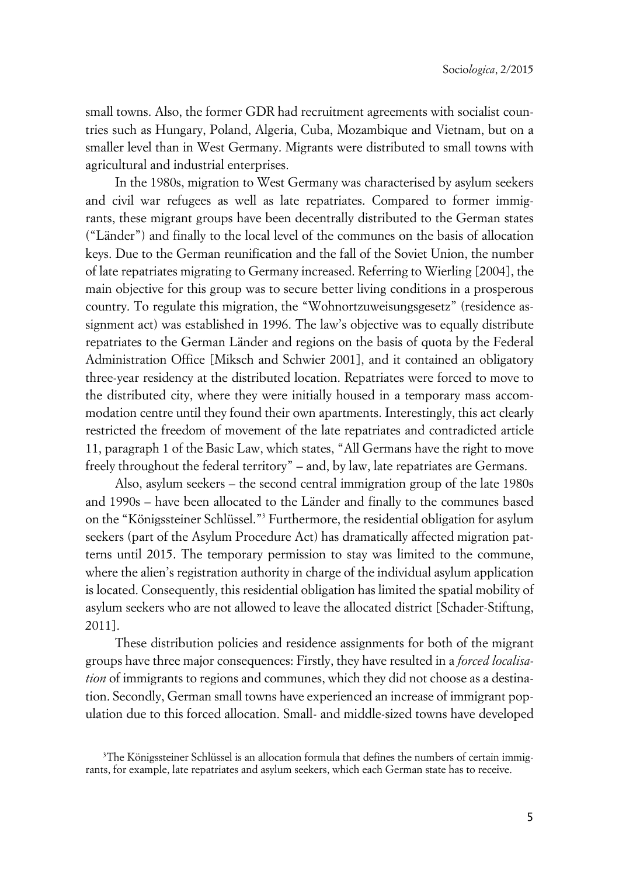small towns. Also, the former GDR had recruitment agreements with socialist countries such as Hungary, Poland, Algeria, Cuba, Mozambique and Vietnam, but on a smaller level than in West Germany. Migrants were distributed to small towns with agricultural and industrial enterprises.

In the 1980s, migration to West Germany was characterised by asylum seekers and civil war refugees as well as late repatriates. Compared to former immigrants, these migrant groups have been decentrally distributed to the German states ("Länder") and finally to the local level of the communes on the basis of allocation keys. Due to the German reunification and the fall of the Soviet Union, the number of late repatriates migrating to Germany increased. Referring to Wierling [2004], the main objective for this group was to secure better living conditions in a prosperous country. To regulate this migration, the "Wohnortzuweisungsgesetz" (residence assignment act) was established in 1996. The law's objective was to equally distribute repatriates to the German Länder and regions on the basis of quota by the Federal Administration Office [Miksch and Schwier 2001], and it contained an obligatory three-year residency at the distributed location. Repatriates were forced to move to the distributed city, where they were initially housed in a temporary mass accommodation centre until they found their own apartments. Interestingly, this act clearly restricted the freedom of movement of the late repatriates and contradicted article 11, paragraph 1 of the Basic Law, which states, "All Germans have the right to move freely throughout the federal territory" – and, by law, late repatriates are Germans.

Also, asylum seekers – the second central immigration group of the late 1980s and 1990s – have been allocated to the Länder and finally to the communes based on the "Königssteiner Schlüssel."<sup>3</sup> Furthermore, the residential obligation for asylum seekers (part of the Asylum Procedure Act) has dramatically affected migration patterns until 2015. The temporary permission to stay was limited to the commune, where the alien's registration authority in charge of the individual asylum application is located. Consequently, this residential obligation has limited the spatial mobility of asylum seekers who are not allowed to leave the allocated district [Schader-Stiftung, 2011].

These distribution policies and residence assignments for both of the migrant groups have three major consequences: Firstly, they have resulted in a *forced localisation* of immigrants to regions and communes, which they did not choose as a destination. Secondly, German small towns have experienced an increase of immigrant population due to this forced allocation. Small- and middle-sized towns have developed

<sup>&</sup>lt;sup>3</sup>The Königssteiner Schlüssel is an allocation formula that defines the numbers of certain immigrants, for example, late repatriates and asylum seekers, which each German state has to receive.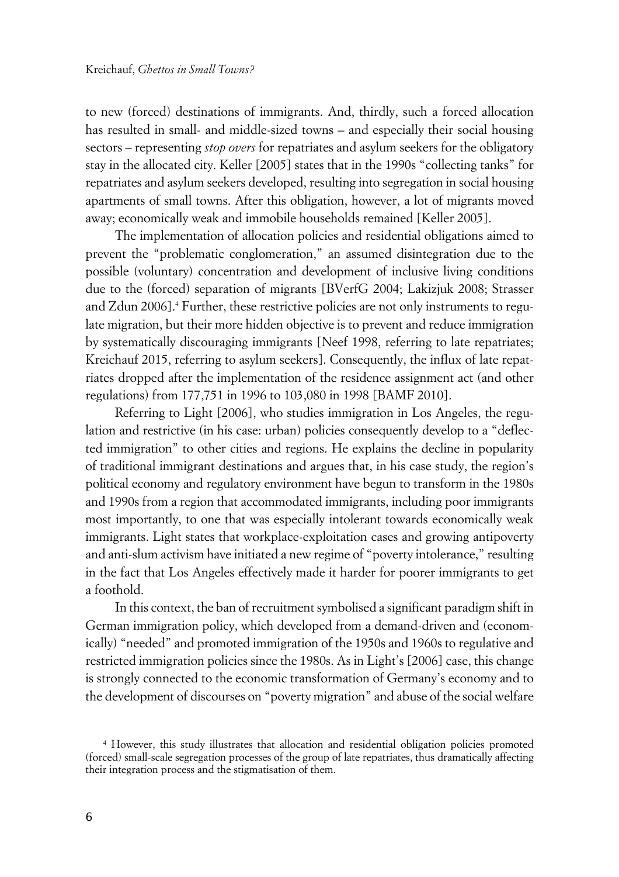to new (forced) destinations of immigrants. And, thirdly, such a forced allocation has resulted in small- and middle-sized towns – and especially their social housing sectors – representing *stop overs* for repatriates and asylum seekers for the obligatory stay in the allocated city. Keller [2005] states that in the 1990s "collecting tanks" for repatriates and asylum seekers developed, resulting into segregation in social housing apartments of small towns. After this obligation, however, a lot of migrants moved away; economically weak and immobile households remained [Keller 2005].

The implementation of allocation policies and residential obligations aimed to prevent the "problematic conglomeration," an assumed disintegration due to the possible (voluntary) concentration and development of inclusive living conditions due to the (forced) separation of migrants [BVerfG 2004; Lakizjuk 2008; Strasser and Zdun 2006].<sup>4</sup> Further, these restrictive policies are not only instruments to regulate migration, but their more hidden objective is to prevent and reduce immigration by systematically discouraging immigrants [Neef 1998, referring to late repatriates; Kreichauf 2015, referring to asylum seekers]. Consequently, the influx of late repatriates dropped after the implementation of the residence assignment act (and other regulations) from 177,751 in 1996 to 103,080 in 1998 [BAMF 2010].

Referring to Light [2006], who studies immigration in Los Angeles, the regulation and restrictive (in his case: urban) policies consequently develop to a "deflected immigration" to other cities and regions. He explains the decline in popularity of traditional immigrant destinations and argues that, in his case study, the region's political economy and regulatory environment have begun to transform in the 1980s and 1990s from a region that accommodated immigrants, including poor immigrants most importantly, to one that was especially intolerant towards economically weak immigrants. Light states that workplace-exploitation cases and growing antipoverty and anti-slum activism have initiated a new regime of "poverty intolerance," resulting in the fact that Los Angeles effectively made it harder for poorer immigrants to get a foothold.

In this context, the ban of recruitment symbolised a significant paradigm shift in German immigration policy, which developed from a demand-driven and (economically) "needed" and promoted immigration of the 1950s and 1960s to regulative and restricted immigration policies since the 1980s. As in Light's [2006] case, this change is strongly connected to the economic transformation of Germany's economy and to the development of discourses on "poverty migration" and abuse of the social welfare

<sup>4</sup> However, this study illustrates that allocation and residential obligation policies promoted (forced) small-scale segregation processes of the group of late repatriates, thus dramatically affecting their integration process and the stigmatisation of them.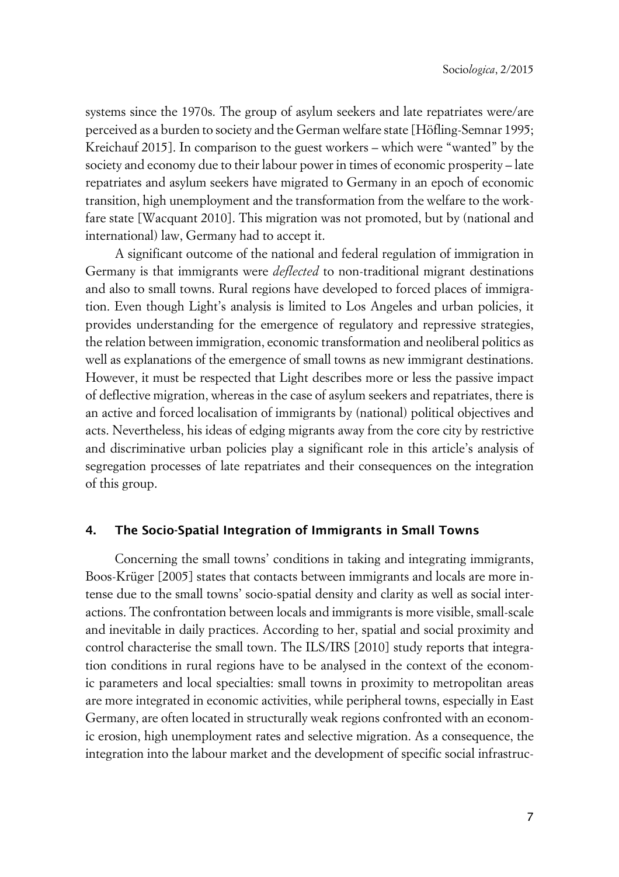systems since the 1970s. The group of asylum seekers and late repatriates were/are perceived as a burden to society and the German welfare state [Höfling-Semnar 1995; Kreichauf 2015]. In comparison to the guest workers – which were "wanted" by the society and economy due to their labour power in times of economic prosperity – late repatriates and asylum seekers have migrated to Germany in an epoch of economic transition, high unemployment and the transformation from the welfare to the workfare state [Wacquant 2010]. This migration was not promoted, but by (national and international) law, Germany had to accept it.

A significant outcome of the national and federal regulation of immigration in Germany is that immigrants were *deflected* to non-traditional migrant destinations and also to small towns. Rural regions have developed to forced places of immigration. Even though Light's analysis is limited to Los Angeles and urban policies, it provides understanding for the emergence of regulatory and repressive strategies, the relation between immigration, economic transformation and neoliberal politics as well as explanations of the emergence of small towns as new immigrant destinations. However, it must be respected that Light describes more or less the passive impact of deflective migration, whereas in the case of asylum seekers and repatriates, there is an active and forced localisation of immigrants by (national) political objectives and acts. Nevertheless, his ideas of edging migrants away from the core city by restrictive and discriminative urban policies play a significant role in this article's analysis of segregation processes of late repatriates and their consequences on the integration of this group.

### **4. The Socio-Spatial Integration of Immigrants in Small Towns**

Concerning the small towns' conditions in taking and integrating immigrants, Boos-Krüger [2005] states that contacts between immigrants and locals are more intense due to the small towns' socio-spatial density and clarity as well as social interactions. The confrontation between locals and immigrants is more visible, small-scale and inevitable in daily practices. According to her, spatial and social proximity and control characterise the small town. The ILS/IRS [2010] study reports that integration conditions in rural regions have to be analysed in the context of the economic parameters and local specialties: small towns in proximity to metropolitan areas are more integrated in economic activities, while peripheral towns, especially in East Germany, are often located in structurally weak regions confronted with an economic erosion, high unemployment rates and selective migration. As a consequence, the integration into the labour market and the development of specific social infrastruc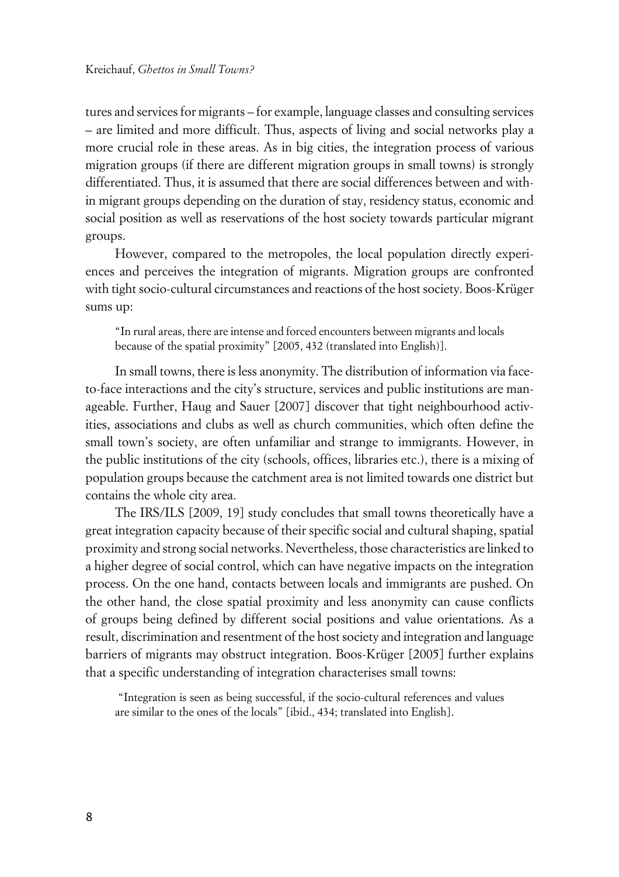tures and services for migrants – for example, language classes and consulting services – are limited and more difficult. Thus, aspects of living and social networks play a more crucial role in these areas. As in big cities, the integration process of various migration groups (if there are different migration groups in small towns) is strongly differentiated. Thus, it is assumed that there are social differences between and within migrant groups depending on the duration of stay, residency status, economic and social position as well as reservations of the host society towards particular migrant groups.

However, compared to the metropoles, the local population directly experiences and perceives the integration of migrants. Migration groups are confronted with tight socio-cultural circumstances and reactions of the host society. Boos-Krüger sums up:

"In rural areas, there are intense and forced encounters between migrants and locals because of the spatial proximity" [2005, 432 (translated into English)].

In small towns, there is less anonymity. The distribution of information via faceto-face interactions and the city's structure, services and public institutions are manageable. Further, Haug and Sauer [2007] discover that tight neighbourhood activities, associations and clubs as well as church communities, which often define the small town's society, are often unfamiliar and strange to immigrants. However, in the public institutions of the city (schools, offices, libraries etc.), there is a mixing of population groups because the catchment area is not limited towards one district but contains the whole city area.

The IRS/ILS [2009, 19] study concludes that small towns theoretically have a great integration capacity because of their specific social and cultural shaping, spatial proximity and strong social networks. Nevertheless, those characteristics are linked to a higher degree of social control, which can have negative impacts on the integration process. On the one hand, contacts between locals and immigrants are pushed. On the other hand, the close spatial proximity and less anonymity can cause conflicts of groups being defined by different social positions and value orientations. As a result, discrimination and resentment of the host society and integration and language barriers of migrants may obstruct integration. Boos-Krüger [2005] further explains that a specific understanding of integration characterises small towns:

 "Integration is seen as being successful, if the socio-cultural references and values are similar to the ones of the locals" [ibid., 434; translated into English].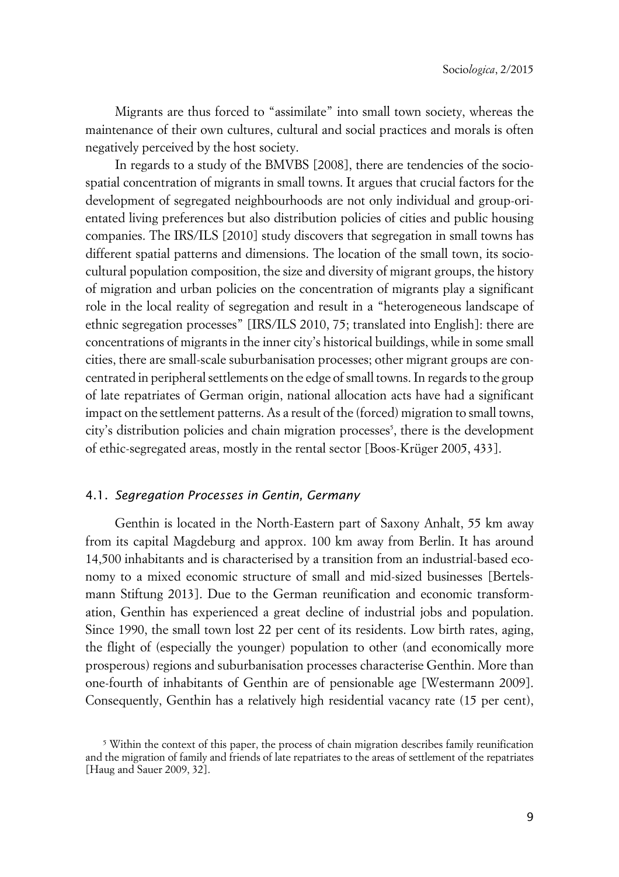Migrants are thus forced to "assimilate" into small town society, whereas the maintenance of their own cultures, cultural and social practices and morals is often negatively perceived by the host society.

In regards to a study of the BMVBS [2008], there are tendencies of the sociospatial concentration of migrants in small towns. It argues that crucial factors for the development of segregated neighbourhoods are not only individual and group-orientated living preferences but also distribution policies of cities and public housing companies. The IRS/ILS [2010] study discovers that segregation in small towns has different spatial patterns and dimensions. The location of the small town, its sociocultural population composition, the size and diversity of migrant groups, the history of migration and urban policies on the concentration of migrants play a significant role in the local reality of segregation and result in a "heterogeneous landscape of ethnic segregation processes" [IRS/ILS 2010, 75; translated into English]: there are concentrations of migrants in the inner city's historical buildings, while in some small cities, there are small-scale suburbanisation processes; other migrant groups are concentrated in peripheral settlements on the edge of small towns. In regards to the group of late repatriates of German origin, national allocation acts have had a significant impact on the settlement patterns. As a result of the (forced) migration to small towns, city's distribution policies and chain migration processes<sup>5</sup>, there is the development of ethic-segregated areas, mostly in the rental sector [Boos-Krüger 2005, 433].

#### 4.1. *Segregation Processes in Gentin, Germany*

Genthin is located in the North-Eastern part of Saxony Anhalt, 55 km away from its capital Magdeburg and approx. 100 km away from Berlin. It has around 14,500 inhabitants and is characterised by a transition from an industrial-based economy to a mixed economic structure of small and mid-sized businesses [Bertelsmann Stiftung 2013]. Due to the German reunification and economic transformation, Genthin has experienced a great decline of industrial jobs and population. Since 1990, the small town lost 22 per cent of its residents. Low birth rates, aging, the flight of (especially the younger) population to other (and economically more prosperous) regions and suburbanisation processes characterise Genthin. More than one-fourth of inhabitants of Genthin are of pensionable age [Westermann 2009]. Consequently, Genthin has a relatively high residential vacancy rate (15 per cent),

<sup>&</sup>lt;sup>5</sup> Within the context of this paper, the process of chain migration describes family reunification and the migration of family and friends of late repatriates to the areas of settlement of the repatriates [Haug and Sauer 2009, 32].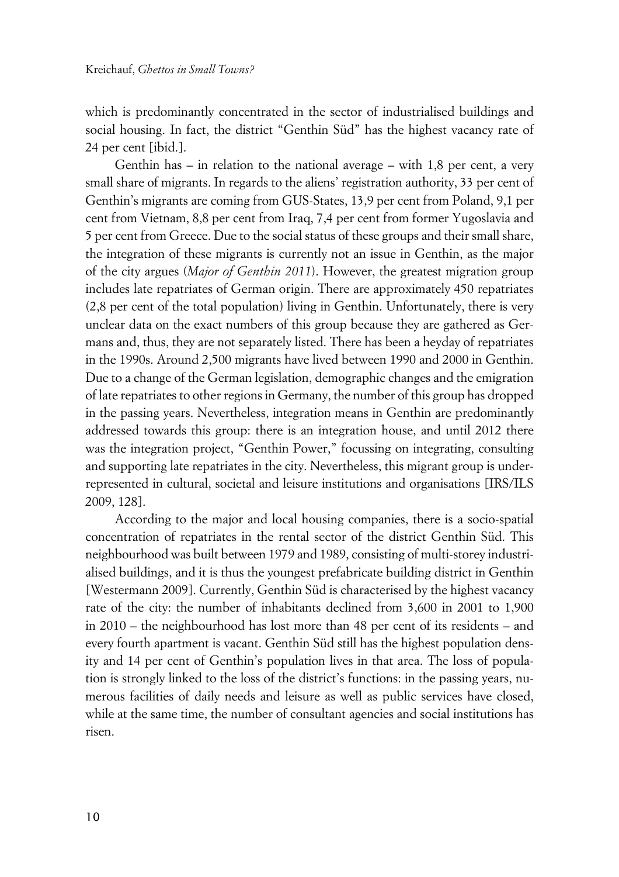which is predominantly concentrated in the sector of industrialised buildings and social housing. In fact, the district "Genthin Süd" has the highest vacancy rate of 24 per cent [ibid.].

Genthin has – in relation to the national average – with 1,8 per cent, a very small share of migrants. In regards to the aliens' registration authority, 33 per cent of Genthin's migrants are coming from GUS-States, 13,9 per cent from Poland, 9,1 per cent from Vietnam, 8,8 per cent from Iraq, 7,4 per cent from former Yugoslavia and 5 per cent from Greece. Due to the social status of these groups and their small share, the integration of these migrants is currently not an issue in Genthin, as the major of the city argues (*Major of Genthin 2011*). However, the greatest migration group includes late repatriates of German origin. There are approximately 450 repatriates (2,8 per cent of the total population) living in Genthin. Unfortunately, there is very unclear data on the exact numbers of this group because they are gathered as Germans and, thus, they are not separately listed. There has been a heyday of repatriates in the 1990s. Around 2,500 migrants have lived between 1990 and 2000 in Genthin. Due to a change of the German legislation, demographic changes and the emigration of late repatriates to other regions in Germany, the number of this group has dropped in the passing years. Nevertheless, integration means in Genthin are predominantly addressed towards this group: there is an integration house, and until 2012 there was the integration project, "Genthin Power," focussing on integrating, consulting and supporting late repatriates in the city. Nevertheless, this migrant group is underrepresented in cultural, societal and leisure institutions and organisations [IRS/ILS 2009, 128].

According to the major and local housing companies, there is a socio-spatial concentration of repatriates in the rental sector of the district Genthin Süd. This neighbourhood was built between 1979 and 1989, consisting of multi-storey industrialised buildings, and it is thus the youngest prefabricate building district in Genthin [Westermann 2009]. Currently, Genthin Süd is characterised by the highest vacancy rate of the city: the number of inhabitants declined from 3,600 in 2001 to 1,900 in 2010 – the neighbourhood has lost more than 48 per cent of its residents – and every fourth apartment is vacant. Genthin Süd still has the highest population density and 14 per cent of Genthin's population lives in that area. The loss of population is strongly linked to the loss of the district's functions: in the passing years, numerous facilities of daily needs and leisure as well as public services have closed, while at the same time, the number of consultant agencies and social institutions has risen.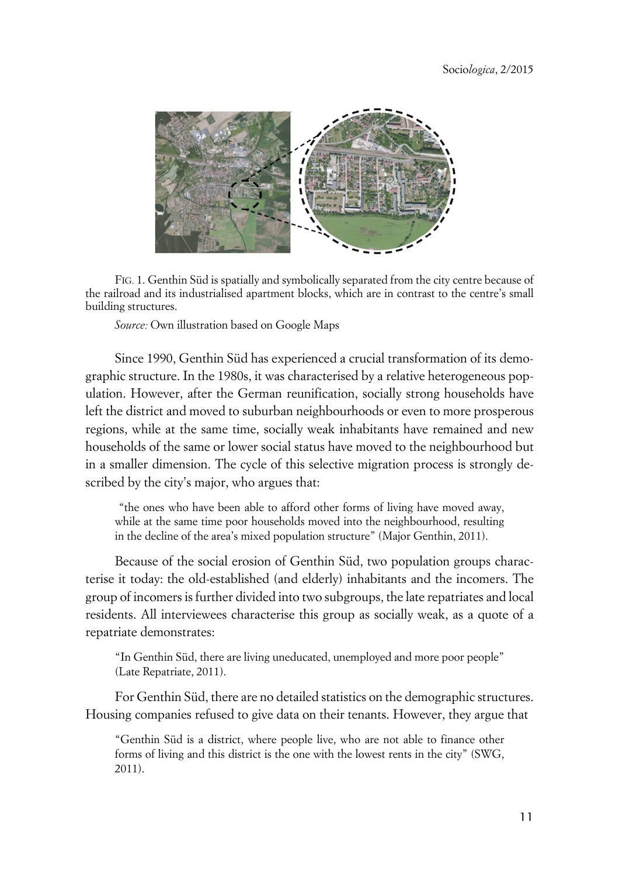

FIG. 1. Genthin Süd is spatially and symbolically separated from the city centre because of the railroad and its industrialised apartment blocks, which are in contrast to the centre's small building structures.

*Source:* Own illustration based on Google Maps

Since 1990, Genthin Süd has experienced a crucial transformation of its demographic structure. In the 1980s, it was characterised by a relative heterogeneous population. However, after the German reunification, socially strong households have left the district and moved to suburban neighbourhoods or even to more prosperous regions, while at the same time, socially weak inhabitants have remained and new households of the same or lower social status have moved to the neighbourhood but in a smaller dimension. The cycle of this selective migration process is strongly described by the city's major, who argues that:

 "the ones who have been able to afford other forms of living have moved away, while at the same time poor households moved into the neighbourhood, resulting in the decline of the area's mixed population structure" (Major Genthin, 2011).

Because of the social erosion of Genthin Süd, two population groups characterise it today: the old-established (and elderly) inhabitants and the incomers. The group of incomers is further divided into two subgroups, the late repatriates and local residents. All interviewees characterise this group as socially weak, as a quote of a repatriate demonstrates:

"In Genthin Süd, there are living uneducated, unemployed and more poor people" (Late Repatriate, 2011).

For Genthin Süd, there are no detailed statistics on the demographic structures. Housing companies refused to give data on their tenants. However, they argue that

"Genthin Süd is a district, where people live, who are not able to finance other forms of living and this district is the one with the lowest rents in the city" (SWG, 2011).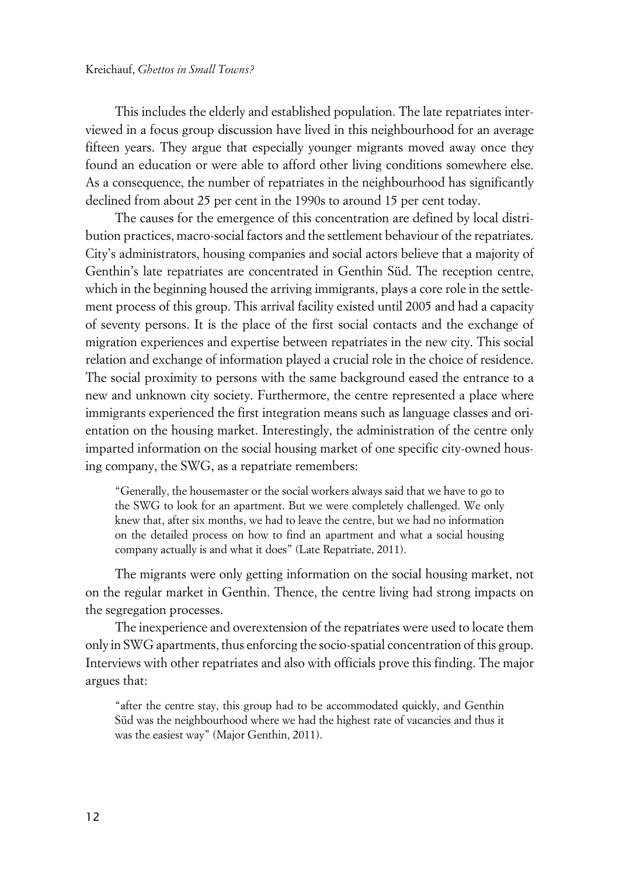This includes the elderly and established population. The late repatriates interviewed in a focus group discussion have lived in this neighbourhood for an average fifteen years. They argue that especially younger migrants moved away once they found an education or were able to afford other living conditions somewhere else. As a consequence, the number of repatriates in the neighbourhood has significantly declined from about 25 per cent in the 1990s to around 15 per cent today.

The causes for the emergence of this concentration are defined by local distribution practices, macro-social factors and the settlement behaviour of the repatriates. City's administrators, housing companies and social actors believe that a majority of Genthin's late repatriates are concentrated in Genthin Süd. The reception centre, which in the beginning housed the arriving immigrants, plays a core role in the settlement process of this group. This arrival facility existed until 2005 and had a capacity of seventy persons. It is the place of the first social contacts and the exchange of migration experiences and expertise between repatriates in the new city. This social relation and exchange of information played a crucial role in the choice of residence. The social proximity to persons with the same background eased the entrance to a new and unknown city society. Furthermore, the centre represented a place where immigrants experienced the first integration means such as language classes and orientation on the housing market. Interestingly, the administration of the centre only imparted information on the social housing market of one specific city-owned housing company, the SWG, as a repatriate remembers:

"Generally, the housemaster or the social workers always said that we have to go to the SWG to look for an apartment. But we were completely challenged. We only knew that, after six months, we had to leave the centre, but we had no information on the detailed process on how to find an apartment and what a social housing company actually is and what it does" (Late Repatriate, 2011).

The migrants were only getting information on the social housing market, not on the regular market in Genthin. Thence, the centre living had strong impacts on the segregation processes.

The inexperience and overextension of the repatriates were used to locate them only in SWG apartments, thus enforcing the socio-spatial concentration of this group. Interviews with other repatriates and also with officials prove this finding. The major argues that:

"after the centre stay, this group had to be accommodated quickly, and Genthin Süd was the neighbourhood where we had the highest rate of vacancies and thus it was the easiest way" (Major Genthin, 2011).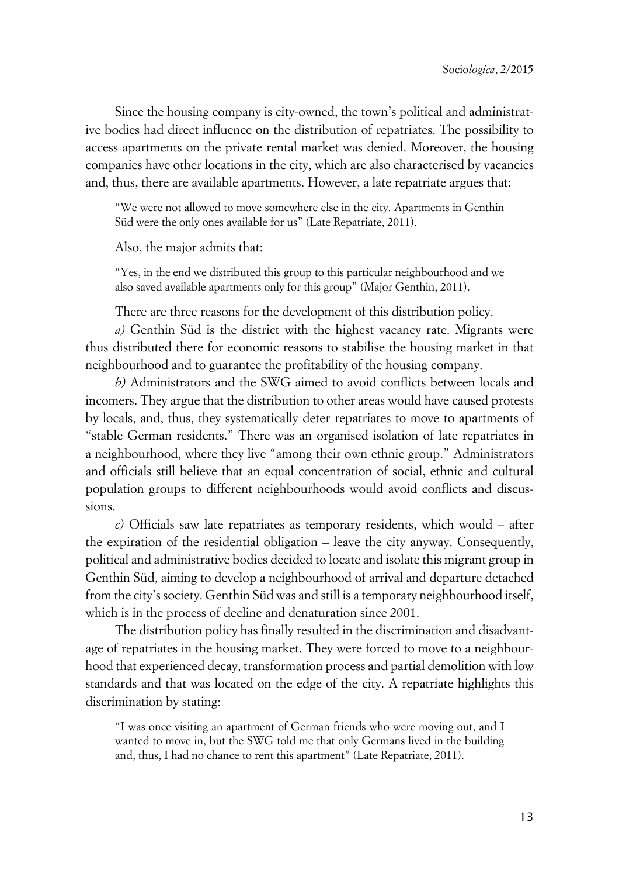Since the housing company is city-owned, the town's political and administrative bodies had direct influence on the distribution of repatriates. The possibility to access apartments on the private rental market was denied. Moreover, the housing companies have other locations in the city, which are also characterised by vacancies and, thus, there are available apartments. However, a late repatriate argues that:

"We were not allowed to move somewhere else in the city. Apartments in Genthin Süd were the only ones available for us" (Late Repatriate, 2011).

Also, the major admits that:

"Yes, in the end we distributed this group to this particular neighbourhood and we also saved available apartments only for this group" (Major Genthin, 2011).

There are three reasons for the development of this distribution policy.

*a)* Genthin Süd is the district with the highest vacancy rate. Migrants were thus distributed there for economic reasons to stabilise the housing market in that neighbourhood and to guarantee the profitability of the housing company.

*b)* Administrators and the SWG aimed to avoid conflicts between locals and incomers. They argue that the distribution to other areas would have caused protests by locals, and, thus, they systematically deter repatriates to move to apartments of "stable German residents." There was an organised isolation of late repatriates in a neighbourhood, where they live "among their own ethnic group." Administrators and officials still believe that an equal concentration of social, ethnic and cultural population groups to different neighbourhoods would avoid conflicts and discussions.

*c)* Officials saw late repatriates as temporary residents, which would – after the expiration of the residential obligation – leave the city anyway. Consequently, political and administrative bodies decided to locate and isolate this migrant group in Genthin Süd, aiming to develop a neighbourhood of arrival and departure detached from the city's society. Genthin Süd was and still is a temporary neighbourhood itself, which is in the process of decline and denaturation since 2001.

The distribution policy has finally resulted in the discrimination and disadvantage of repatriates in the housing market. They were forced to move to a neighbourhood that experienced decay, transformation process and partial demolition with low standards and that was located on the edge of the city. A repatriate highlights this discrimination by stating:

"I was once visiting an apartment of German friends who were moving out, and I wanted to move in, but the SWG told me that only Germans lived in the building and, thus, I had no chance to rent this apartment" (Late Repatriate, 2011).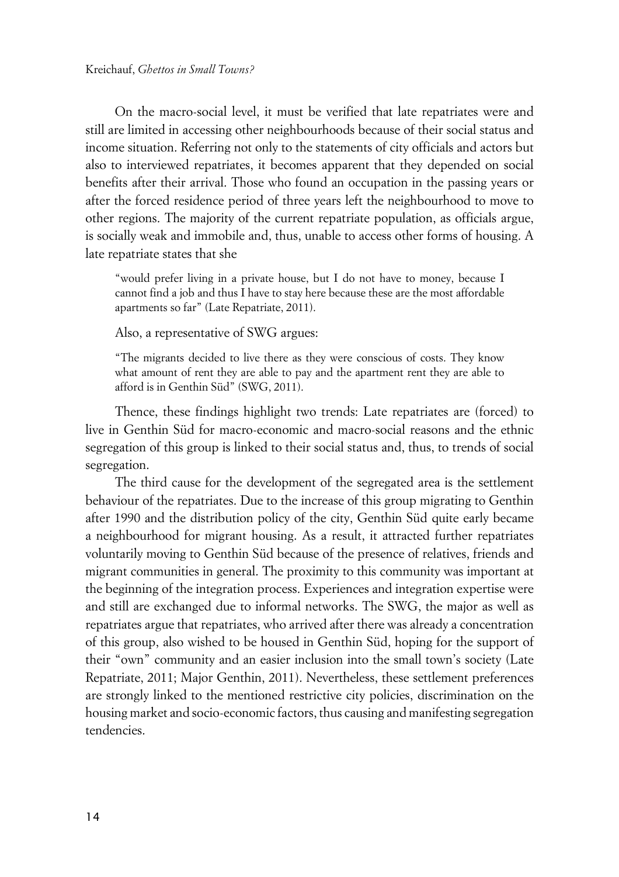On the macro-social level, it must be verified that late repatriates were and still are limited in accessing other neighbourhoods because of their social status and income situation. Referring not only to the statements of city officials and actors but also to interviewed repatriates, it becomes apparent that they depended on social benefits after their arrival. Those who found an occupation in the passing years or after the forced residence period of three years left the neighbourhood to move to other regions. The majority of the current repatriate population, as officials argue, is socially weak and immobile and, thus, unable to access other forms of housing. A late repatriate states that she

"would prefer living in a private house, but I do not have to money, because I cannot find a job and thus I have to stay here because these are the most affordable apartments so far" (Late Repatriate, 2011).

Also, a representative of SWG argues:

"The migrants decided to live there as they were conscious of costs. They know what amount of rent they are able to pay and the apartment rent they are able to afford is in Genthin Süd" (SWG, 2011).

Thence, these findings highlight two trends: Late repatriates are (forced) to live in Genthin Süd for macro-economic and macro-social reasons and the ethnic segregation of this group is linked to their social status and, thus, to trends of social segregation.

The third cause for the development of the segregated area is the settlement behaviour of the repatriates. Due to the increase of this group migrating to Genthin after 1990 and the distribution policy of the city, Genthin Süd quite early became a neighbourhood for migrant housing. As a result, it attracted further repatriates voluntarily moving to Genthin Süd because of the presence of relatives, friends and migrant communities in general. The proximity to this community was important at the beginning of the integration process. Experiences and integration expertise were and still are exchanged due to informal networks. The SWG, the major as well as repatriates argue that repatriates, who arrived after there was already a concentration of this group, also wished to be housed in Genthin Süd, hoping for the support of their "own" community and an easier inclusion into the small town's society (Late Repatriate, 2011; Major Genthin, 2011). Nevertheless, these settlement preferences are strongly linked to the mentioned restrictive city policies, discrimination on the housing market and socio-economic factors, thus causing and manifesting segregation tendencies.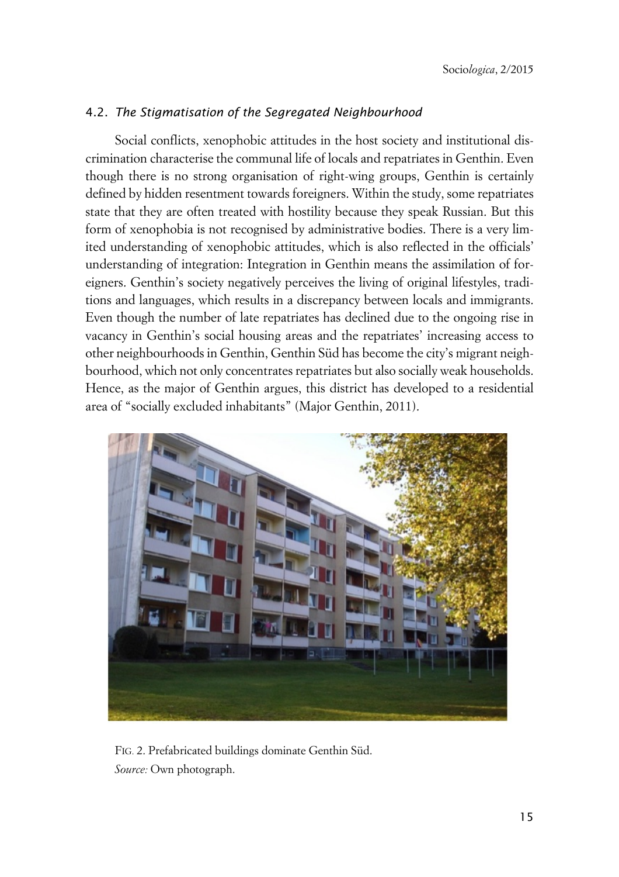## 4.2. *The Stigmatisation of the Segregated Neighbourhood*

Social conflicts, xenophobic attitudes in the host society and institutional discrimination characterise the communal life of locals and repatriates in Genthin. Even though there is no strong organisation of right-wing groups, Genthin is certainly defined by hidden resentment towards foreigners. Within the study, some repatriates state that they are often treated with hostility because they speak Russian. But this form of xenophobia is not recognised by administrative bodies. There is a very limited understanding of xenophobic attitudes, which is also reflected in the officials' understanding of integration: Integration in Genthin means the assimilation of foreigners. Genthin's society negatively perceives the living of original lifestyles, traditions and languages, which results in a discrepancy between locals and immigrants. Even though the number of late repatriates has declined due to the ongoing rise in vacancy in Genthin's social housing areas and the repatriates' increasing access to other neighbourhoods in Genthin, Genthin Süd has become the city's migrant neighbourhood, which not only concentrates repatriates but also socially weak households. Hence, as the major of Genthin argues, this district has developed to a residential area of "socially excluded inhabitants" (Major Genthin, 2011).



FIG. 2. Prefabricated buildings dominate Genthin Süd. *Source:* Own photograph.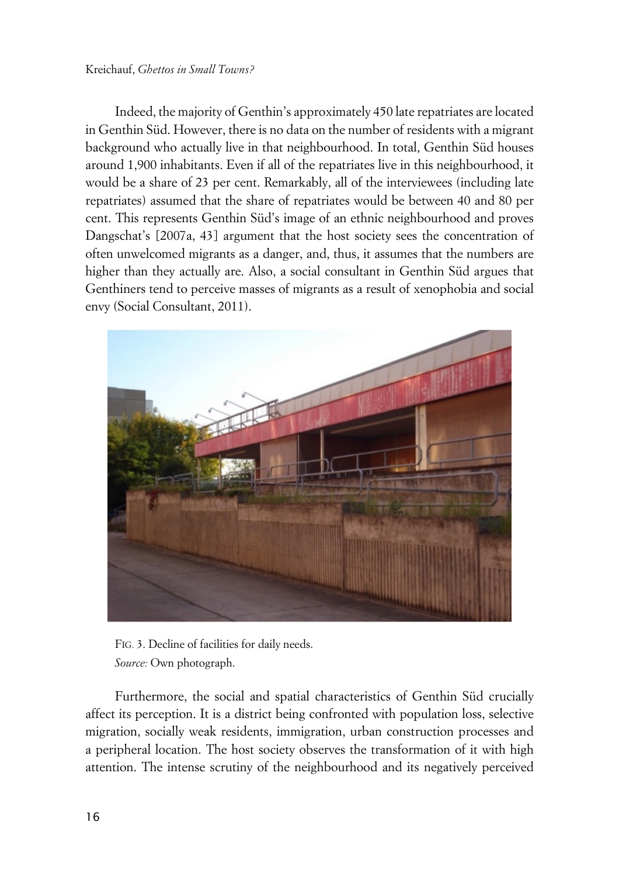Indeed, the majority of Genthin's approximately 450 late repatriates are located in Genthin Süd. However, there is no data on the number of residents with a migrant background who actually live in that neighbourhood. In total, Genthin Süd houses around 1,900 inhabitants. Even if all of the repatriates live in this neighbourhood, it would be a share of 23 per cent. Remarkably, all of the interviewees (including late repatriates) assumed that the share of repatriates would be between 40 and 80 per cent. This represents Genthin Süd's image of an ethnic neighbourhood and proves Dangschat's [2007a, 43] argument that the host society sees the concentration of often unwelcomed migrants as a danger, and, thus, it assumes that the numbers are higher than they actually are. Also, a social consultant in Genthin Süd argues that Genthiners tend to perceive masses of migrants as a result of xenophobia and social envy (Social Consultant, 2011).



FIG. 3. Decline of facilities for daily needs. *Source:* Own photograph.

Furthermore, the social and spatial characteristics of Genthin Süd crucially affect its perception. It is a district being confronted with population loss, selective migration, socially weak residents, immigration, urban construction processes and a peripheral location. The host society observes the transformation of it with high attention. The intense scrutiny of the neighbourhood and its negatively perceived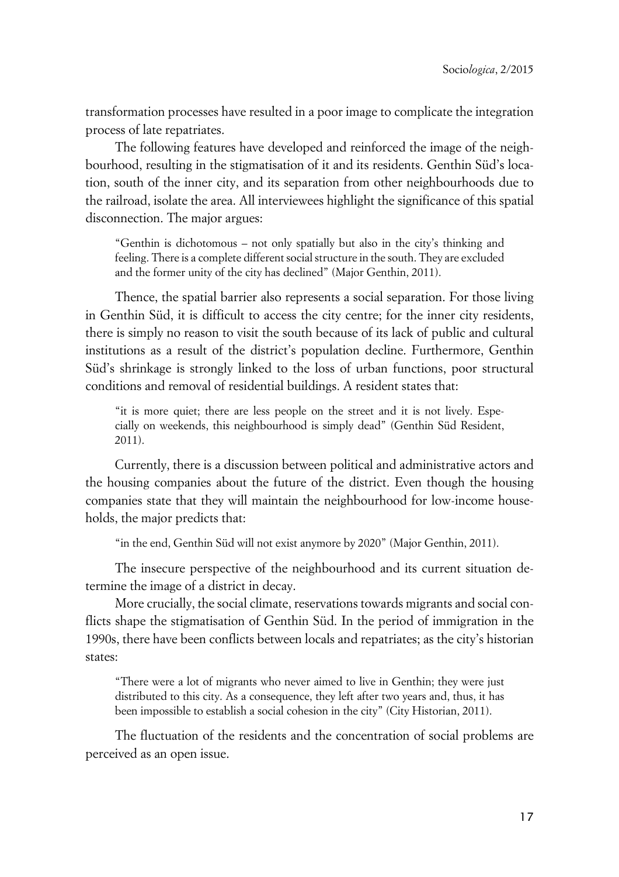transformation processes have resulted in a poor image to complicate the integration process of late repatriates.

The following features have developed and reinforced the image of the neighbourhood, resulting in the stigmatisation of it and its residents. Genthin Süd's location, south of the inner city, and its separation from other neighbourhoods due to the railroad, isolate the area. All interviewees highlight the significance of this spatial disconnection. The major argues:

"Genthin is dichotomous – not only spatially but also in the city's thinking and feeling. There is a complete different social structure in the south. They are excluded and the former unity of the city has declined" (Major Genthin, 2011).

Thence, the spatial barrier also represents a social separation. For those living in Genthin Süd, it is difficult to access the city centre; for the inner city residents, there is simply no reason to visit the south because of its lack of public and cultural institutions as a result of the district's population decline. Furthermore, Genthin Süd's shrinkage is strongly linked to the loss of urban functions, poor structural conditions and removal of residential buildings. A resident states that:

"it is more quiet; there are less people on the street and it is not lively. Especially on weekends, this neighbourhood is simply dead" (Genthin Süd Resident, 2011).

Currently, there is a discussion between political and administrative actors and the housing companies about the future of the district. Even though the housing companies state that they will maintain the neighbourhood for low-income households, the major predicts that:

"in the end, Genthin Süd will not exist anymore by 2020" (Major Genthin, 2011).

The insecure perspective of the neighbourhood and its current situation determine the image of a district in decay.

More crucially, the social climate, reservations towards migrants and social conflicts shape the stigmatisation of Genthin Süd. In the period of immigration in the 1990s, there have been conflicts between locals and repatriates; as the city's historian states:

"There were a lot of migrants who never aimed to live in Genthin; they were just distributed to this city. As a consequence, they left after two years and, thus, it has been impossible to establish a social cohesion in the city" (City Historian, 2011).

The fluctuation of the residents and the concentration of social problems are perceived as an open issue.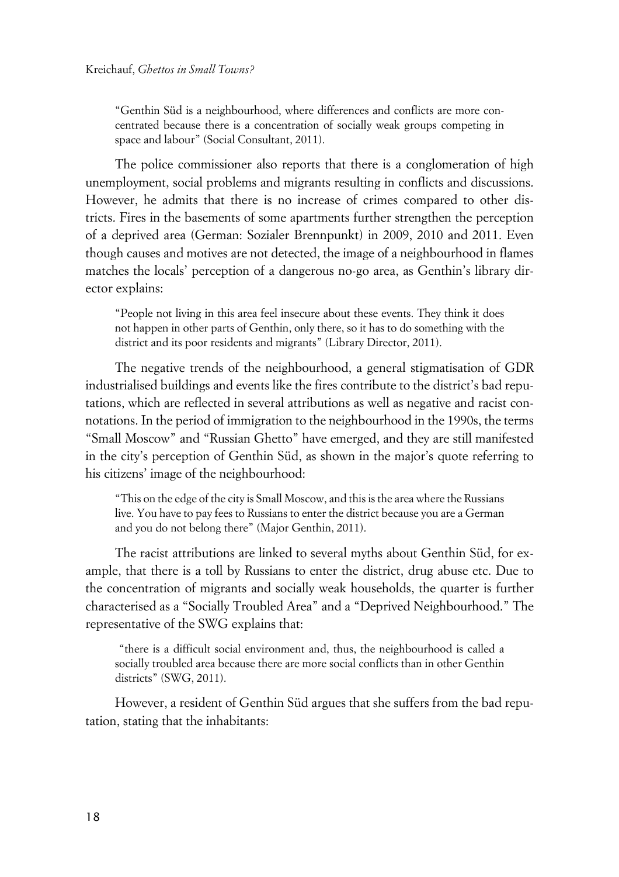"Genthin Süd is a neighbourhood, where differences and conflicts are more concentrated because there is a concentration of socially weak groups competing in space and labour" (Social Consultant, 2011).

The police commissioner also reports that there is a conglomeration of high unemployment, social problems and migrants resulting in conflicts and discussions. However, he admits that there is no increase of crimes compared to other districts. Fires in the basements of some apartments further strengthen the perception of a deprived area (German: Sozialer Brennpunkt) in 2009, 2010 and 2011. Even though causes and motives are not detected, the image of a neighbourhood in flames matches the locals' perception of a dangerous no-go area, as Genthin's library director explains:

"People not living in this area feel insecure about these events. They think it does not happen in other parts of Genthin, only there, so it has to do something with the district and its poor residents and migrants" (Library Director, 2011).

The negative trends of the neighbourhood, a general stigmatisation of GDR industrialised buildings and events like the fires contribute to the district's bad reputations, which are reflected in several attributions as well as negative and racist connotations. In the period of immigration to the neighbourhood in the 1990s, the terms "Small Moscow" and "Russian Ghetto" have emerged, and they are still manifested in the city's perception of Genthin Süd, as shown in the major's quote referring to his citizens' image of the neighbourhood:

"This on the edge of the city is Small Moscow, and this is the area where the Russians live. You have to pay fees to Russians to enter the district because you are a German and you do not belong there" (Major Genthin, 2011).

The racist attributions are linked to several myths about Genthin Süd, for example, that there is a toll by Russians to enter the district, drug abuse etc. Due to the concentration of migrants and socially weak households, the quarter is further characterised as a "Socially Troubled Area" and a "Deprived Neighbourhood." The representative of the SWG explains that:

 "there is a difficult social environment and, thus, the neighbourhood is called a socially troubled area because there are more social conflicts than in other Genthin districts" (SWG, 2011).

However, a resident of Genthin Süd argues that she suffers from the bad reputation, stating that the inhabitants: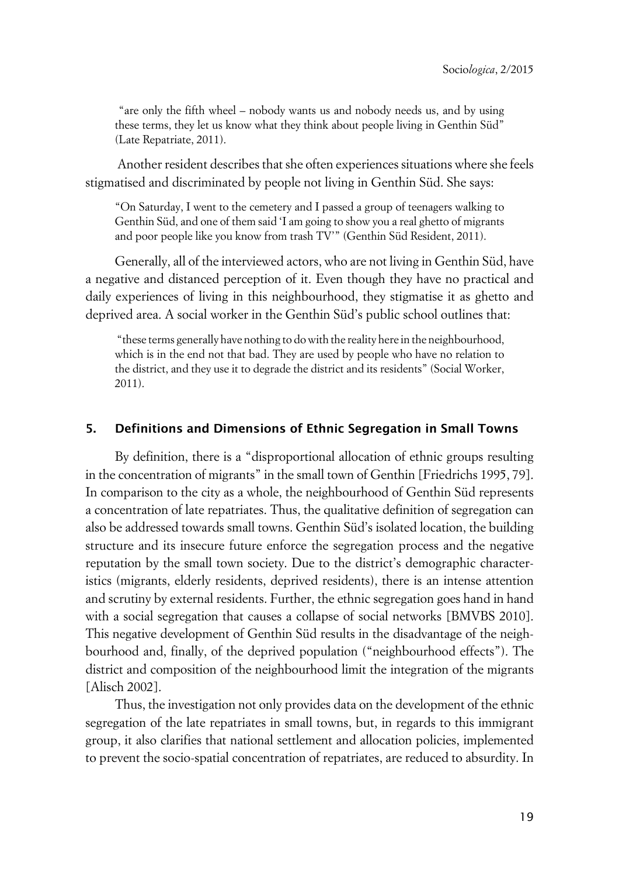"are only the fifth wheel – nobody wants us and nobody needs us, and by using these terms, they let us know what they think about people living in Genthin Süd" (Late Repatriate, 2011).

 Another resident describes that she often experiences situations where she feels stigmatised and discriminated by people not living in Genthin Süd. She says:

"On Saturday, I went to the cemetery and I passed a group of teenagers walking to Genthin Süd, and one of them said 'I am going to show you a real ghetto of migrants and poor people like you know from trash TV'" (Genthin Süd Resident, 2011).

Generally, all of the interviewed actors, who are not living in Genthin Süd, have a negative and distanced perception of it. Even though they have no practical and daily experiences of living in this neighbourhood, they stigmatise it as ghetto and deprived area. A social worker in the Genthin Süd's public school outlines that:

 "these terms generally have nothing to do with the reality here in the neighbourhood, which is in the end not that bad. They are used by people who have no relation to the district, and they use it to degrade the district and its residents" (Social Worker, 2011).

#### **5. Definitions and Dimensions of Ethnic Segregation in Small Towns**

By definition, there is a "disproportional allocation of ethnic groups resulting in the concentration of migrants" in the small town of Genthin [Friedrichs 1995, 79]. In comparison to the city as a whole, the neighbourhood of Genthin Süd represents a concentration of late repatriates. Thus, the qualitative definition of segregation can also be addressed towards small towns. Genthin Süd's isolated location, the building structure and its insecure future enforce the segregation process and the negative reputation by the small town society. Due to the district's demographic characteristics (migrants, elderly residents, deprived residents), there is an intense attention and scrutiny by external residents. Further, the ethnic segregation goes hand in hand with a social segregation that causes a collapse of social networks [BMVBS 2010]. This negative development of Genthin Süd results in the disadvantage of the neighbourhood and, finally, of the deprived population ("neighbourhood effects"). The district and composition of the neighbourhood limit the integration of the migrants [Alisch 2002].

Thus, the investigation not only provides data on the development of the ethnic segregation of the late repatriates in small towns, but, in regards to this immigrant group, it also clarifies that national settlement and allocation policies, implemented to prevent the socio-spatial concentration of repatriates, are reduced to absurdity. In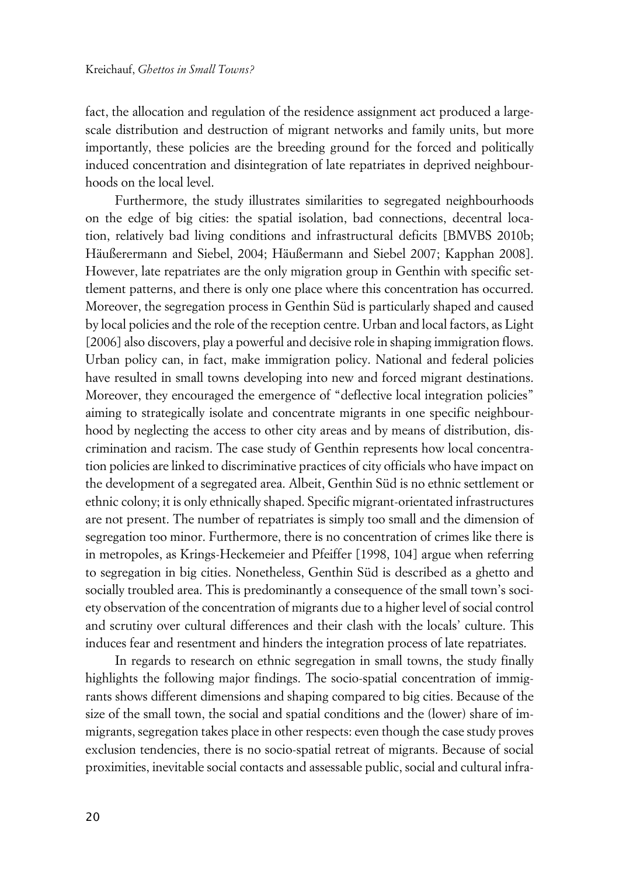fact, the allocation and regulation of the residence assignment act produced a largescale distribution and destruction of migrant networks and family units, but more importantly, these policies are the breeding ground for the forced and politically induced concentration and disintegration of late repatriates in deprived neighbourhoods on the local level.

Furthermore, the study illustrates similarities to segregated neighbourhoods on the edge of big cities: the spatial isolation, bad connections, decentral location, relatively bad living conditions and infrastructural deficits [BMVBS 2010b; Häußerermann and Siebel, 2004; Häußermann and Siebel 2007; Kapphan 2008]. However, late repatriates are the only migration group in Genthin with specific settlement patterns, and there is only one place where this concentration has occurred. Moreover, the segregation process in Genthin Süd is particularly shaped and caused by local policies and the role of the reception centre. Urban and local factors, as Light [2006] also discovers, play a powerful and decisive role in shaping immigration flows. Urban policy can, in fact, make immigration policy. National and federal policies have resulted in small towns developing into new and forced migrant destinations. Moreover, they encouraged the emergence of "deflective local integration policies" aiming to strategically isolate and concentrate migrants in one specific neighbourhood by neglecting the access to other city areas and by means of distribution, discrimination and racism. The case study of Genthin represents how local concentration policies are linked to discriminative practices of city officials who have impact on the development of a segregated area. Albeit, Genthin Süd is no ethnic settlement or ethnic colony; it is only ethnically shaped. Specific migrant-orientated infrastructures are not present. The number of repatriates is simply too small and the dimension of segregation too minor. Furthermore, there is no concentration of crimes like there is in metropoles, as Krings-Heckemeier and Pfeiffer [1998, 104] argue when referring to segregation in big cities. Nonetheless, Genthin Süd is described as a ghetto and socially troubled area. This is predominantly a consequence of the small town's society observation of the concentration of migrants due to a higher level of social control and scrutiny over cultural differences and their clash with the locals' culture. This induces fear and resentment and hinders the integration process of late repatriates.

In regards to research on ethnic segregation in small towns, the study finally highlights the following major findings. The socio-spatial concentration of immigrants shows different dimensions and shaping compared to big cities. Because of the size of the small town, the social and spatial conditions and the (lower) share of immigrants, segregation takes place in other respects: even though the case study proves exclusion tendencies, there is no socio-spatial retreat of migrants. Because of social proximities, inevitable social contacts and assessable public, social and cultural infra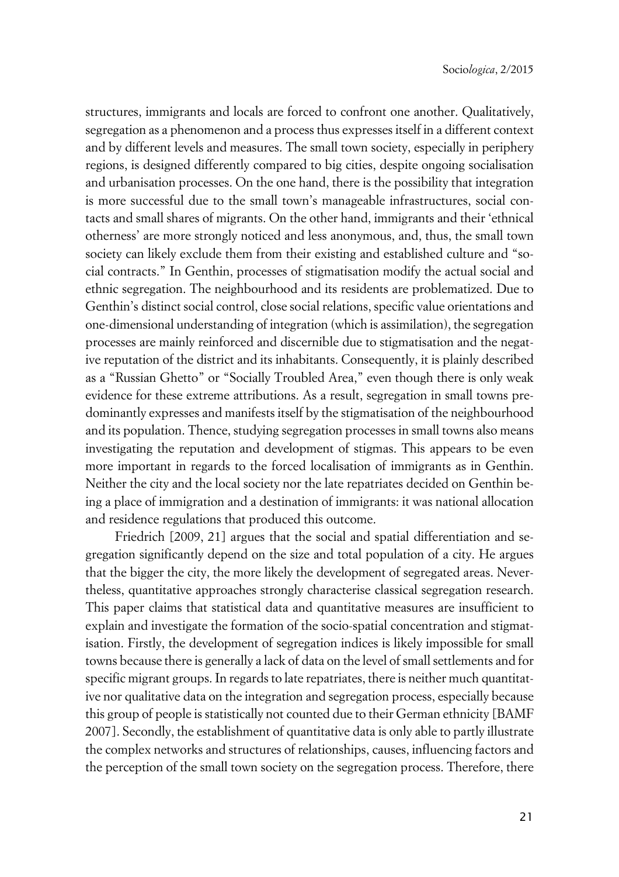structures, immigrants and locals are forced to confront one another. Qualitatively, segregation as a phenomenon and a process thus expresses itself in a different context and by different levels and measures. The small town society, especially in periphery regions, is designed differently compared to big cities, despite ongoing socialisation and urbanisation processes. On the one hand, there is the possibility that integration is more successful due to the small town's manageable infrastructures, social contacts and small shares of migrants. On the other hand, immigrants and their 'ethnical otherness' are more strongly noticed and less anonymous, and, thus, the small town society can likely exclude them from their existing and established culture and "social contracts." In Genthin, processes of stigmatisation modify the actual social and ethnic segregation. The neighbourhood and its residents are problematized. Due to Genthin's distinct social control, close social relations, specific value orientations and one-dimensional understanding of integration (which is assimilation), the segregation processes are mainly reinforced and discernible due to stigmatisation and the negative reputation of the district and its inhabitants. Consequently, it is plainly described as a "Russian Ghetto" or "Socially Troubled Area," even though there is only weak evidence for these extreme attributions. As a result, segregation in small towns predominantly expresses and manifests itself by the stigmatisation of the neighbourhood and its population. Thence, studying segregation processes in small towns also means investigating the reputation and development of stigmas. This appears to be even more important in regards to the forced localisation of immigrants as in Genthin. Neither the city and the local society nor the late repatriates decided on Genthin being a place of immigration and a destination of immigrants: it was national allocation and residence regulations that produced this outcome.

Friedrich [2009, 21] argues that the social and spatial differentiation and segregation significantly depend on the size and total population of a city. He argues that the bigger the city, the more likely the development of segregated areas. Nevertheless, quantitative approaches strongly characterise classical segregation research. This paper claims that statistical data and quantitative measures are insufficient to explain and investigate the formation of the socio-spatial concentration and stigmatisation. Firstly, the development of segregation indices is likely impossible for small towns because there is generally a lack of data on the level of small settlements and for specific migrant groups. In regards to late repatriates, there is neither much quantitative nor qualitative data on the integration and segregation process, especially because this group of people is statistically not counted due to their German ethnicity [BAMF 2007]. Secondly, the establishment of quantitative data is only able to partly illustrate the complex networks and structures of relationships, causes, influencing factors and the perception of the small town society on the segregation process. Therefore, there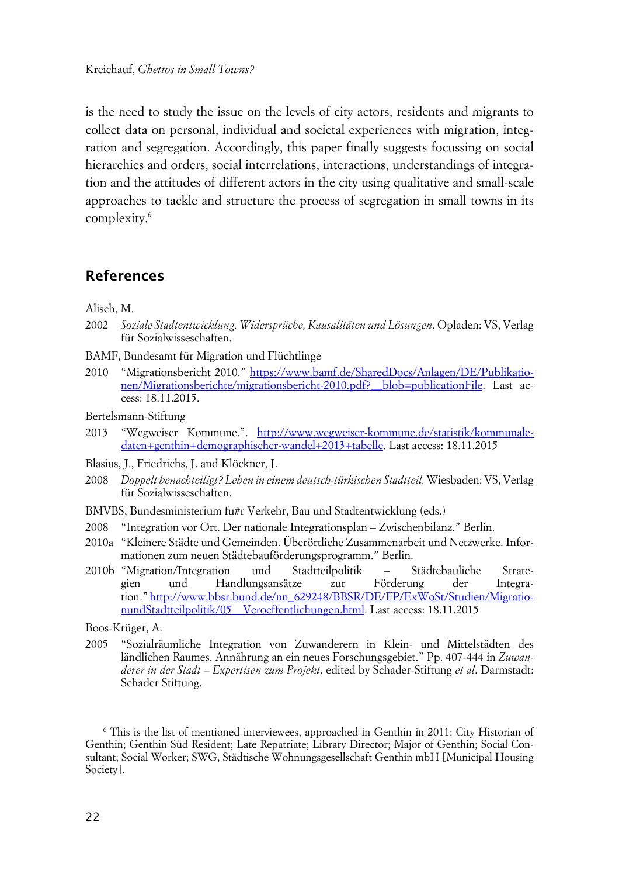is the need to study the issue on the levels of city actors, residents and migrants to collect data on personal, individual and societal experiences with migration, integration and segregation. Accordingly, this paper finally suggests focussing on social hierarchies and orders, social interrelations, interactions, understandings of integration and the attitudes of different actors in the city using qualitative and small-scale approaches to tackle and structure the process of segregation in small towns in its complexity.<sup>6</sup>

### **References**

Alisch, M.

- 2002 *Soziale Stadtentwicklung. Widersprüche, Kausalitäten und Lösungen*. Opladen: VS, Verlag für Sozialwisseschaften.
- BAMF, Bundesamt für Migration und Flüchtlinge
- 2010 "Migrationsbericht 2010." [https://www.bamf.de/SharedDocs/Anlagen/DE/Publikatio](https://www.bamf.de/SharedDocs/Anlagen/DE/Publikationen/Migrationsberichte/migrationsbericht-2010.pdf?__blob=?publicationFile?)[nen/Migrationsberichte/migrationsbericht-2010.pdf?\\_\\_blob=publicationFile.](https://www.bamf.de/SharedDocs/Anlagen/DE/Publikationen/Migrationsberichte/migrationsbericht-2010.pdf?__blob=?publicationFile?) Last access: 18.11.2015.

Bertelsmann-Stiftung

- 2013 "Wegweiser Kommune.". [http://www.wegweiser-kommune.de/statistik/kommunale](http://www.wegweiser-kommune.de/statistik/kommunale-daten+genthin+demographischer-wandel+2013+tabelle)[daten+genthin+demographischer-wandel+2013+tabelle](http://www.wegweiser-kommune.de/statistik/kommunale-daten+genthin+demographischer-wandel+2013+tabelle). Last access: 18.11.2015
- Blasius, J., Friedrichs, J. and Klöckner, J.
- 2008 *Doppelt benachteiligt? Leben in einem deutsch-türkischen Stadtteil.* Wiesbaden: VS, Verlag für Sozialwisseschaften.
- BMVBS, Bundesministerium fu#r Verkehr, Bau und Stadtentwicklung (eds.)
- 2008 "Integration vor Ort. Der nationale Integrationsplan Zwischenbilanz." Berlin.
- 2010a "Kleinere Städte und Gemeinden. Überörtliche Zusammenarbeit und Netzwerke. Informationen zum neuen Städtebauförderungsprogramm." Berlin.
- 2010b "Migration/Integration und Stadtteilpolitik Städtebauliche Strategien und Handlungsansätze zur Förderung der Integration." [http://www.bbsr.bund.de/nn\\_629248/BBSR/DE/FP/ExWoSt/Studien/Migratio](http://www.bbsr.bund.de/nn_629248/BBSR/DE/FP/ExWoSt/Studien/MigrationundStadtteilpolitik/05__Veroeffentlichungen.html)[nundStadtteilpolitik/05\\_\\_Veroeffentlichungen.html](http://www.bbsr.bund.de/nn_629248/BBSR/DE/FP/ExWoSt/Studien/MigrationundStadtteilpolitik/05__Veroeffentlichungen.html). Last access: 18.11.2015

Boos-Krüger, A.

2005 "Sozialräumliche Integration von Zuwanderern in Klein- und Mittelstädten des ländlichen Raumes. Annährung an ein neues Forschungsgebiet." Pp. 407-444 in *Zuwanderer in der Stadt – Expertisen zum Projekt*, edited by Schader-Stiftung *et al*. Darmstadt: Schader Stiftung.

6 This is the list of mentioned interviewees, approached in Genthin in 2011: City Historian of Genthin; Genthin Süd Resident; Late Repatriate; Library Director; Major of Genthin; Social Consultant; Social Worker; SWG, Städtische Wohnungsgesellschaft Genthin mbH [Municipal Housing Society].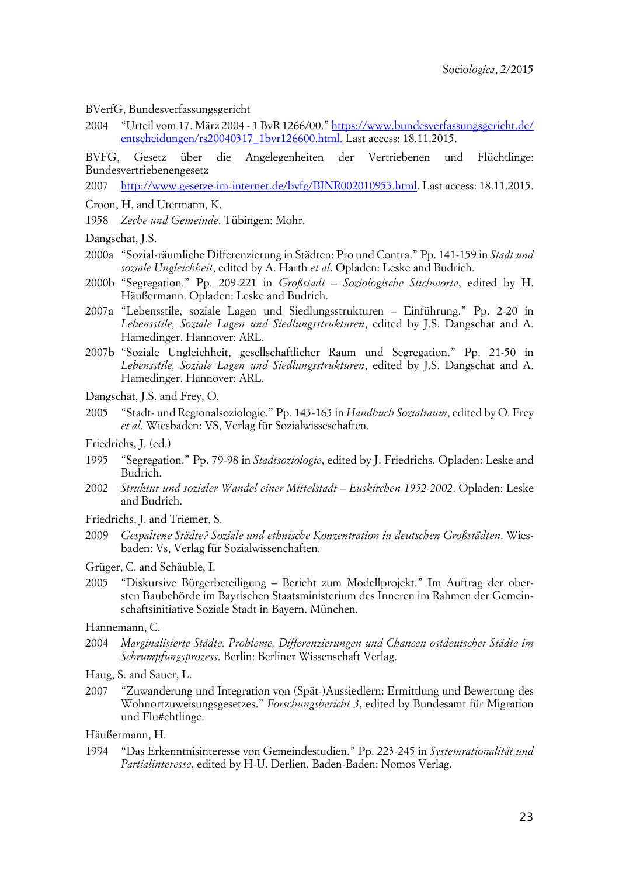BVerfG, Bundesverfassungsgericht

2004 "Urteil vom 17. März 2004 - 1 BvR 1266/00." [https://www.bundesverfassungsgericht.de/](https://www.bundesverfassungsgericht.de/entscheidungen/rs20040317_1bvr126600.html.) [entscheidungen/rs20040317\\_1bvr126600.html.](https://www.bundesverfassungsgericht.de/entscheidungen/rs20040317_1bvr126600.html.) Last access: 18.11.2015.

BVFG, Gesetz über die Angelegenheiten der Vertriebenen und Flüchtlinge: Bundesvertriebenengesetz

2007 [http://www.gesetze-im-internet.de/bvfg/BJNR002010953.html.](http://www.gesetze-im-internet.de/bvfg/BJNR002010953.html) Last access: 18.11.2015.

- Croon, H. and Utermann, K.
- 1958 *Zeche und Gemeinde*. Tübingen: Mohr.

Dangschat, J.S.

- 2000a "Sozial-räumliche Differenzierung in Städten: Pro und Contra." Pp. 141-159 in *Stadt und soziale Ungleichheit*, edited by A. Harth *et al*. Opladen: Leske and Budrich.
- 2000b "Segregation." Pp. 209-221 in *Großstadt Soziologische Stichworte*, edited by H. Häußermann. Opladen: Leske and Budrich.
- 2007a "Lebensstile, soziale Lagen und Siedlungsstrukturen Einführung." Pp. 2-20 in *Lebensstile, Soziale Lagen und Siedlungsstrukturen*, edited by J.S. Dangschat and A. Hamedinger. Hannover: ARL.
- 2007b "Soziale Ungleichheit, gesellschaftlicher Raum und Segregation." Pp. 21-50 in *Lebensstile, Soziale Lagen und Siedlungsstrukturen*, edited by J.S. Dangschat and A. Hamedinger. Hannover: ARL.
- Dangschat, J.S. and Frey, O.
- 2005 "Stadt- und Regionalsoziologie." Pp. 143-163 in *Handbuch Sozialraum*, edited by O. Frey *et al*. Wiesbaden: VS, Verlag für Sozialwisseschaften.
- Friedrichs, J. (ed.)
- 1995 "Segregation." Pp. 79-98 in *Stadtsoziologie*, edited by J. Friedrichs. Opladen: Leske and Budrich.
- 2002 *Struktur und sozialer Wandel einer Mittelstadt Euskirchen 1952-2002*. Opladen: Leske and Budrich.
- Friedrichs, J. and Triemer, S.
- 2009 *Gespaltene Städte? Soziale und ethnische Konzentration in deutschen Großstädten*. Wiesbaden: Vs, Verlag für Sozialwissenchaften.
- Grüger, C. and Schäuble, I.
- 2005 "Diskursive Bürgerbeteiligung Bericht zum Modellprojekt." Im Auftrag der obersten Baubehörde im Bayrischen Staatsministerium des Inneren im Rahmen der Gemeinschaftsinitiative Soziale Stadt in Bayern. München.

Hannemann, C.

- 2004 *Marginalisierte Städte. Probleme, Differenzierungen und Chancen ostdeutscher Städte im Schrumpfungsprozess*. Berlin: Berliner Wissenschaft Verlag.
- Haug, S. and Sauer, L.
- 2007 "Zuwanderung und Integration von (Spät-)Aussiedlern: Ermittlung und Bewertung des Wohnortzuweisungsgesetzes." *Forschungsbericht 3*, edited by Bundesamt für Migration und Flu#chtlinge.

Häußermann, H.

1994 "Das Erkenntnisinteresse von Gemeindestudien." Pp. 223-245 in *Systemrationalität und Partialinteresse*, edited by H-U. Derlien. Baden-Baden: Nomos Verlag.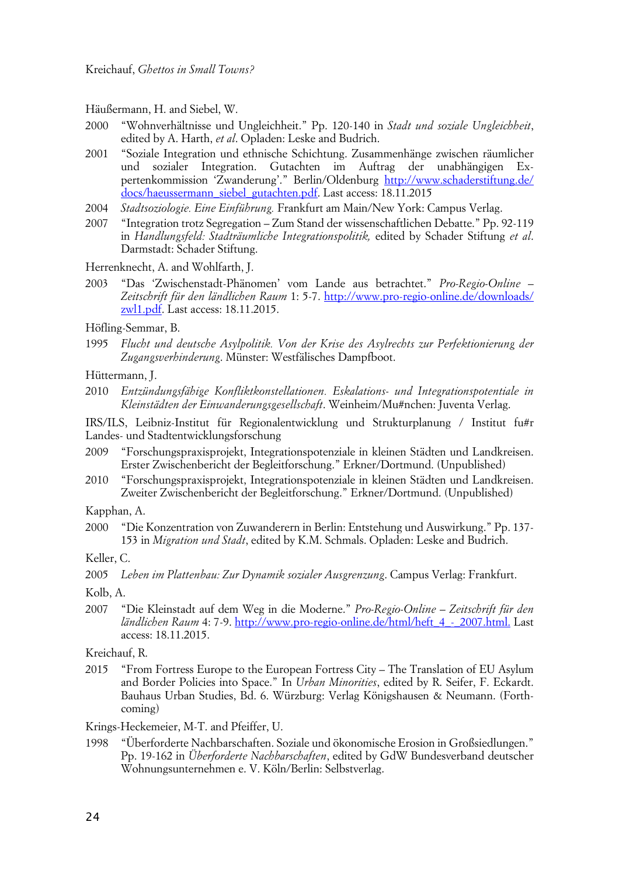Häußermann, H. and Siebel, W.

- 2000 "Wohnverhältnisse und Ungleichheit." Pp. 120-140 in *Stadt und soziale Ungleichheit*, edited by A. Harth, *et al*. Opladen: Leske and Budrich.
- 2001 "Soziale Integration und ethnische Schichtung. Zusammenhänge zwischen räumlicher und sozialer Integration. Gutachten im Auftrag der unabhängigen Expertenkommission 'Zwanderung'." Berlin/Oldenburg [http://www.schaderstiftung.de/](http://www.schaderstiftung.de/docs/haeussermann_siebel_gutachten.pdf) [docs/haeussermann\\_siebel\\_gutachten.pdf](http://www.schaderstiftung.de/docs/haeussermann_siebel_gutachten.pdf). Last access: 18.11.2015
- 2004 *Stadtsoziologie. Eine Einführung.* Frankfurt am Main/New York: Campus Verlag.
- 2007 "Integration trotz Segregation Zum Stand der wissenschaftlichen Debatte." Pp. 92-119 in *Handlungsfeld: Stadträumliche Integrationspolitik,* edited by Schader Stiftung *et al*. Darmstadt: Schader Stiftung.

Herrenknecht, A. and Wohlfarth, J.

- 2003 "Das 'Zwischenstadt-Phänomen' vom Lande aus betrachtet." *Pro-Regio-Online – Zeitschrift für den ländlichen Raum* 1: 5-7. [http://www.pro-regio-online.de/downloads/](http://www.pro-regio-online.de/downloads/zwl1.pdf) [zwl1.pdf](http://www.pro-regio-online.de/downloads/zwl1.pdf). Last access: 18.11.2015.
- Höfling-Semmar, B.
- 1995 *Flucht und deutsche Asylpolitik. Von der Krise des Asylrechts zur Perfektionierung der Zugangsverhinderung*. Münster: Westfälisches Dampfboot.

Hüttermann, J.

2010 *Entzündungsfähige Konfliktkonstellationen. Eskalations- und Integrationspotentiale in Kleinstädten der Einwanderungsgesellschaft*. Weinheim/Mu#nchen: Juventa Verlag.

IRS/ILS, Leibniz-Institut für Regionalentwicklung und Strukturplanung / Institut fu#r Landes- und Stadtentwicklungsforschung

- 2009 "Forschungspraxisprojekt, Integrationspotenziale in kleinen Städten und Landkreisen. Erster Zwischenbericht der Begleitforschung." Erkner/Dortmund. (Unpublished)
- 2010 "Forschungspraxisprojekt, Integrationspotenziale in kleinen Städten und Landkreisen. Zweiter Zwischenbericht der Begleitforschung." Erkner/Dortmund. (Unpublished)

Kapphan, A.

2000 "Die Konzentration von Zuwanderern in Berlin: Entstehung und Auswirkung." Pp. 137- 153 in *Migration und Stadt*, edited by K.M. Schmals. Opladen: Leske and Budrich.

Keller, C.

2005 *Leben im Plattenbau: Zur Dynamik sozialer Ausgrenzung*. Campus Verlag: Frankfurt.

2007 "Die Kleinstadt auf dem Weg in die Moderne." *Pro-Regio-Online – Zeitschrift für den ländlichen Raum* 4: 7-9. [http://www.pro-regio-online.de/html/heft\\_4\\_-\\_2007.html.](http://www.pro-regio-online.de/html/heft_4_-_2007.html.) Last access: 18.11.2015.

Kreichauf, R.

2015 "From Fortress Europe to the European Fortress City – The Translation of EU Asylum and Border Policies into Space." In *Urban Minorities*, edited by R. Seifer, F. Eckardt. Bauhaus Urban Studies, Bd. 6. Würzburg: Verlag Königshausen & Neumann. (Forthcoming)

Krings-Heckemeier, M-T. and Pfeiffer, U.

1998 "Überforderte Nachbarschaften. Soziale und ökonomische Erosion in Großsiedlungen." Pp. 19-162 in *Überforderte Nachbarschaften*, edited by GdW Bundesverband deutscher Wohnungsunternehmen e. V. Köln/Berlin: Selbstverlag.

Kolb, A.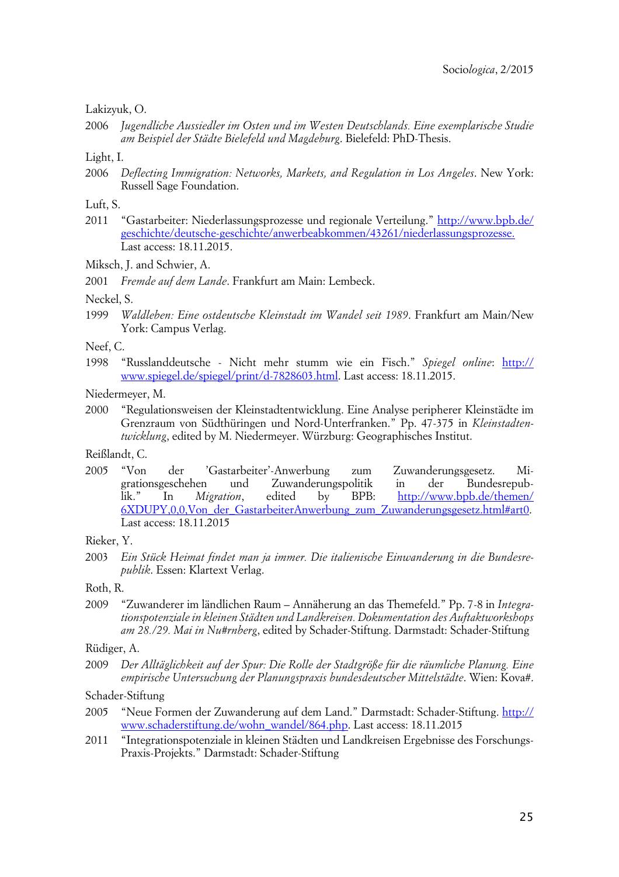#### Lakizyuk, O.

2006 *Jugendliche Aussiedler im Osten und im Westen Deutschlands. Eine exemplarische Studie am Beispiel der Städte Bielefeld und Magdeburg*. Bielefeld: PhD-Thesis.

#### Light, I.

2006 *Deflecting Immigration: Networks, Markets, and Regulation in Los Angeles*. New York: Russell Sage Foundation.

#### Luft, S.

2011 "Gastarbeiter: Niederlassungsprozesse und regionale Verteilung." [http://www.bpb.de/](http://www.bpb.de/geschichte/deutsche-geschichte/anwerbeabkommen/43261/niederlassungsprozesse.) [geschichte/deutsche-geschichte/anwerbeabkommen/43261/niederlassungsprozesse.](http://www.bpb.de/geschichte/deutsche-geschichte/anwerbeabkommen/43261/niederlassungsprozesse.) Last access: 18.11.2015.

Miksch, J. and Schwier, A.

2001 *Fremde auf dem Lande*. Frankfurt am Main: Lembeck.

#### Neckel, S.

1999 *Waldleben: Eine ostdeutsche Kleinstadt im Wandel seit 1989*. Frankfurt am Main/New York: Campus Verlag.

#### Neef, C.

1998 "Russlanddeutsche - Nicht mehr stumm wie ein Fisch." *Spiegel online*: [http://](http://www.spiegel.de/spiegel/print/d-7828603.html) [www.spiegel.de/spiegel/print/d-7828603.html.](http://www.spiegel.de/spiegel/print/d-7828603.html) Last access: 18.11.2015.

Niedermeyer, M.

2000 "Regulationsweisen der Kleinstadtentwicklung. Eine Analyse peripherer Kleinstädte im Grenzraum von Südthüringen und Nord-Unterfranken." Pp. 47-375 in *Kleinstadtentwicklung*, edited by M. Niedermeyer. Würzburg: Geographisches Institut.

Reißlandt, C.

2005 "Von der 'Gastarbeiter'-Anwerbung zum Zuwanderungsgesetz. Migrationsgeschehen und Zuwanderungspolitik in der Bundesrepublik." In *Migration*, edited by BPB: [http://www.bpb.de/themen/](http://www.bpb.de/themen/6XDUPY,0,0,Von_der_GastarbeiterAnwerbung_zum_Zuwanderungsgesetz.html#art0) [6XDUPY,0,0,Von\\_der\\_GastarbeiterAnwerbung\\_zum\\_Zuwanderungsgesetz.html#art0.](http://www.bpb.de/themen/6XDUPY,0,0,Von_der_GastarbeiterAnwerbung_zum_Zuwanderungsgesetz.html#art0) Last access: 18.11.2015

#### Rieker, Y.

2003 *Ein Stück Heimat findet man ja immer. Die italienische Einwanderung in die Bundesrepublik*. Essen: Klartext Verlag.

#### Roth, R.

2009 "Zuwanderer im ländlichen Raum – Annäherung an das Themefeld." Pp. 7-8 in *Integrationspotenziale in kleinen Städten und Landkreisen. Dokumentation des Auftaktworkshops am 28./29. Mai in Nu#rnberg*, edited by Schader-Stiftung. Darmstadt: Schader-Stiftung

#### Rüdiger, A.

2009 *Der Alltäglichkeit auf der Spur: Die Rolle der Stadtgröße für die räumliche Planung. Eine empirische Untersuchung der Planungspraxis bundesdeutscher Mittelstädte*. Wien: Kova#.

#### Schader-Stiftung

- 2005 "Neue Formen der Zuwanderung auf dem Land." Darmstadt: Schader-Stiftung. [http://](http://www.schaderstiftung.de/wohn_wandel/864.php) [www.schaderstiftung.de/wohn\\_wandel/864.php](http://www.schaderstiftung.de/wohn_wandel/864.php). Last access: 18.11.2015
- 2011 "Integrationspotenziale in kleinen Städten und Landkreisen Ergebnisse des Forschungs-Praxis-Projekts." Darmstadt: Schader-Stiftung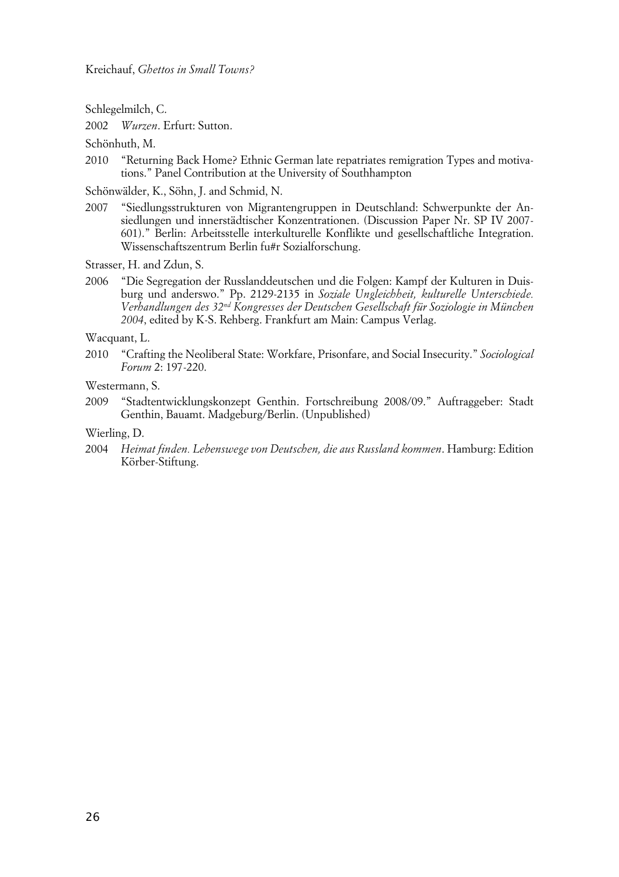Schlegelmilch, C.

2002 *Wurzen*. Erfurt: Sutton.

Schönhuth, M.

2010 "Returning Back Home? Ethnic German late repatriates remigration Types and motivations." Panel Contribution at the University of Southhampton

Schönwälder, K., Söhn, J. and Schmid, N.

2007 "Siedlungsstrukturen von Migrantengruppen in Deutschland: Schwerpunkte der Ansiedlungen und innerstädtischer Konzentrationen. (Discussion Paper Nr. SP IV 2007- 601)." Berlin: Arbeitsstelle interkulturelle Konflikte und gesellschaftliche Integration. Wissenschaftszentrum Berlin fu#r Sozialforschung.

Strasser, H. and Zdun, S.

2006 "Die Segregation der Russlanddeutschen und die Folgen: Kampf der Kulturen in Duisburg und anderswo." Pp. 2129-2135 in *Soziale Ungleichheit, kulturelle Unterschiede. Verhandlungen des 32nd Kongresses der Deutschen Gesellschaft für Soziologie in München 2004*, edited by K-S. Rehberg. Frankfurt am Main: Campus Verlag.

Wacquant, L.

2010 "Crafting the Neoliberal State: Workfare, Prisonfare, and Social Insecurity." *Sociological Forum* 2: 197-220.

Westermann, S.

2009 "Stadtentwicklungskonzept Genthin. Fortschreibung 2008/09." Auftraggeber: Stadt Genthin, Bauamt. Madgeburg/Berlin. (Unpublished)

Wierling, D.

2004 *Heimat finden. Lebenswege von Deutschen, die aus Russland kommen*. Hamburg: Edition Körber-Stiftung.